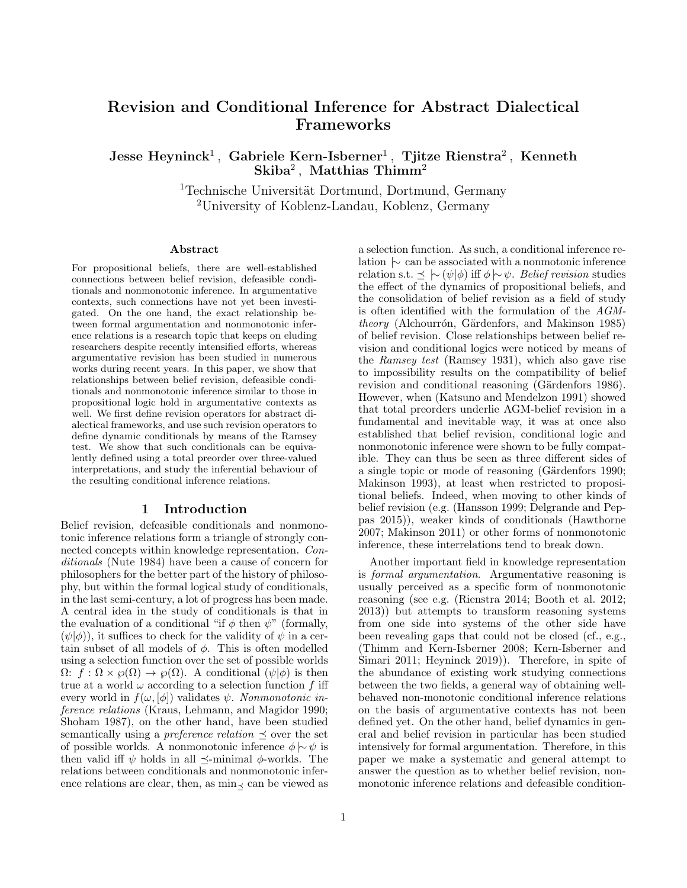# Revision and Conditional Inference for Abstract Dialectical Frameworks

 ${\rm Jesse\; Heyninck^1\, ,\; Gabriel\; Kern-Isberner^1\, ,\; Tjitze\; Rienstra^2\, ,\; Kenneth}$  $\mathbf{Skiba}^2\,,\,\,\mathbf{Mathias}\,\,\mathbf{Thimm}^2$ 

> <sup>1</sup>Technische Universität Dortmund, Dortmund, Germany <sup>2</sup>University of Koblenz-Landau, Koblenz, Germany

#### Abstract

For propositional beliefs, there are well-established connections between belief revision, defeasible conditionals and nonmonotonic inference. In argumentative contexts, such connections have not yet been investigated. On the one hand, the exact relationship between formal argumentation and nonmonotonic inference relations is a research topic that keeps on eluding researchers despite recently intensified efforts, whereas argumentative revision has been studied in numerous works during recent years. In this paper, we show that relationships between belief revision, defeasible conditionals and nonmonotonic inference similar to those in propositional logic hold in argumentative contexts as well. We first define revision operators for abstract dialectical frameworks, and use such revision operators to define dynamic conditionals by means of the Ramsey test. We show that such conditionals can be equivalently defined using a total preorder over three-valued interpretations, and study the inferential behaviour of the resulting conditional inference relations.

### 1 Introduction

Belief revision, defeasible conditionals and nonmonotonic inference relations form a triangle of strongly connected concepts within knowledge representation. Conditionals (Nute 1984) have been a cause of concern for philosophers for the better part of the history of philosophy, but within the formal logical study of conditionals, in the last semi-century, a lot of progress has been made. A central idea in the study of conditionals is that in the evaluation of a conditional "if  $\phi$  then  $\psi$ " (formally,  $(\psi|\phi)$ , it suffices to check for the validity of  $\psi$  in a certain subset of all models of  $\phi$ . This is often modelled using a selection function over the set of possible worlds  $\Omega: f : \Omega \times \varphi(\Omega) \to \varphi(\Omega)$ . A conditional  $(\psi | \phi)$  is then true at a world  $\omega$  according to a selection function f iff every world in  $f(\omega, [\phi])$  validates  $\psi$ . Nonmonotonic inference relations (Kraus, Lehmann, and Magidor 1990; Shoham 1987), on the other hand, have been studied semantically using a *preference relation*  $\preceq$  over the set of possible worlds. A nonmonotonic inference  $\phi \sim \psi$  is then valid iff  $\psi$  holds in all  $\preceq$ -minimal  $\phi$ -worlds. The relations between conditionals and nonmonotonic inference relations are clear, then, as  $\min_{\leq}$  can be viewed as

a selection function. As such, a conditional inference relation |∼ can be associated with a nonmotonic inference relation s.t.  $\preceq \ \mid\sim (\psi|\phi)$  iff  $\phi \mid\sim \psi$ . Belief revision studies the effect of the dynamics of propositional beliefs, and the consolidation of belief revision as a field of study is often identified with the formulation of the AGM $theory$  (Alchourrón, Gärdenfors, and Makinson 1985) of belief revision. Close relationships between belief revision and conditional logics were noticed by means of the Ramsey test (Ramsey 1931), which also gave rise to impossibility results on the compatibility of belief revision and conditional reasoning (Gärdenfors 1986). However, when (Katsuno and Mendelzon 1991) showed that total preorders underlie AGM-belief revision in a fundamental and inevitable way, it was at once also established that belief revision, conditional logic and nonmonotonic inference were shown to be fully compatible. They can thus be seen as three different sides of a single topic or mode of reasoning (Gärdenfors 1990; Makinson 1993), at least when restricted to propositional beliefs. Indeed, when moving to other kinds of belief revision (e.g. (Hansson 1999; Delgrande and Peppas 2015)), weaker kinds of conditionals (Hawthorne 2007; Makinson 2011) or other forms of nonmonotonic inference, these interrelations tend to break down.

Another important field in knowledge representation is formal argumentation. Argumentative reasoning is usually perceived as a specific form of nonmonotonic reasoning (see e.g. (Rienstra 2014; Booth et al. 2012; 2013)) but attempts to transform reasoning systems from one side into systems of the other side have been revealing gaps that could not be closed (cf., e.g., (Thimm and Kern-Isberner 2008; Kern-Isberner and Simari 2011; Heyninck 2019)). Therefore, in spite of the abundance of existing work studying connections between the two fields, a general way of obtaining wellbehaved non-monotonic conditional inference relations on the basis of argumentative contexts has not been defined yet. On the other hand, belief dynamics in general and belief revision in particular has been studied intensively for formal argumentation. Therefore, in this paper we make a systematic and general attempt to answer the question as to whether belief revision, nonmonotonic inference relations and defeasible condition-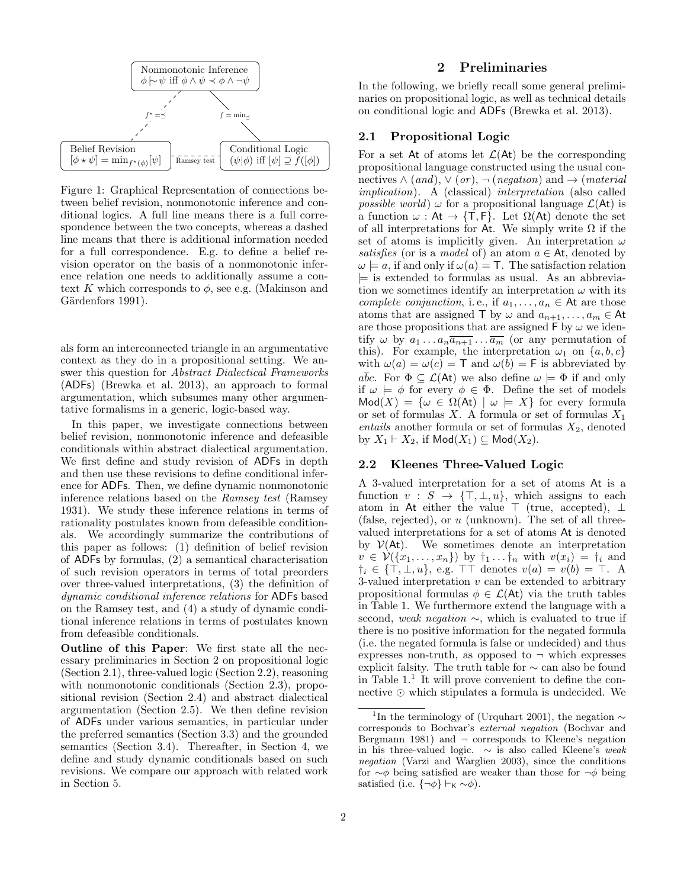

Figure 1: Graphical Representation of connections between belief revision, nonmonotonic inference and conditional logics. A full line means there is a full correspondence between the two concepts, whereas a dashed line means that there is additional information needed for a full correspondence. E.g. to define a belief revision operator on the basis of a nonmonotonic inference relation one needs to additionally assume a context K which corresponds to  $\phi$ , see e.g. (Makinson and Gärdenfors 1991).

als form an interconnected triangle in an argumentative context as they do in a propositional setting. We answer this question for Abstract Dialectical Frameworks (ADFs) (Brewka et al. 2013), an approach to formal argumentation, which subsumes many other argumentative formalisms in a generic, logic-based way.

In this paper, we investigate connections between belief revision, nonmonotonic inference and defeasible conditionals within abstract dialectical argumentation. We first define and study revision of ADFs in depth and then use these revisions to define conditional inference for ADFs. Then, we define dynamic nonmonotonic inference relations based on the Ramsey test (Ramsey 1931). We study these inference relations in terms of rationality postulates known from defeasible conditionals. We accordingly summarize the contributions of this paper as follows: (1) definition of belief revision of ADFs by formulas, (2) a semantical characterisation of such revision operators in terms of total preorders over three-valued interpretations, (3) the definition of dynamic conditional inference relations for ADFs based on the Ramsey test, and (4) a study of dynamic conditional inference relations in terms of postulates known from defeasible conditionals.

Outline of this Paper: We first state all the necessary preliminaries in Section 2 on propositional logic (Section 2.1), three-valued logic (Section 2.2), reasoning with nonmonotonic conditionals (Section 2.3), propositional revision (Section 2.4) and abstract dialectical argumentation (Section 2.5). We then define revision of ADFs under various semantics, in particular under the preferred semantics (Section 3.3) and the grounded semantics (Section 3.4). Thereafter, in Section 4, we define and study dynamic conditionals based on such revisions. We compare our approach with related work in Section 5.

### 2 Preliminaries

In the following, we briefly recall some general preliminaries on propositional logic, as well as technical details on conditional logic and ADFs (Brewka et al. 2013).

## 2.1 Propositional Logic

For a set At of atoms let  $\mathcal{L}(At)$  be the corresponding propositional language constructed using the usual connectives  $\wedge$  (and),  $\vee$  (or),  $\neg$  (negation) and  $\rightarrow$  (material implication). A (classical) interpretation (also called *possible world*)  $\omega$  for a propositional language  $\mathcal{L}(At)$  is a function  $\omega : At \to \{T, F\}$ . Let  $\Omega(At)$  denote the set of all interpretations for At. We simply write  $\Omega$  if the set of atoms is implicitly given. An interpretation  $\omega$ satisfies (or is a model of) an atom  $a \in At$ , denoted by  $\omega \models a$ , if and only if  $\omega(a) = T$ . The satisfaction relation  $\models$  is extended to formulas as usual. As an abbreviation we sometimes identify an interpretation  $\omega$  with its complete conjunction, i.e., if  $a_1, \ldots, a_n \in \mathsf{At}$  are those atoms that are assigned T by  $\omega$  and  $a_{n+1}, \ldots, a_m \in \mathsf{At}$ are those propositions that are assigned  $\mathsf{F}$  by  $\omega$  we identify  $\omega$  by  $a_1 \dots a_n \overline{a_{n+1}} \dots \overline{a_m}$  (or any permutation of this). For example, the interpretation  $\omega_1$  on  $\{a, b, c\}$ with  $\omega(a) = \omega(c) = \mathsf{T}$  and  $\omega(b) = \mathsf{F}$  is abbreviated by  $a\overline{b}c$ . For  $\Phi \subseteq \mathcal{L}(A_t)$  we also define  $\omega \models \Phi$  if and only if  $\omega \models \phi$  for every  $\phi \in \Phi$ . Define the set of models  $Mod(X) = \{ \omega \in \Omega(\mathsf{At}) \mid \omega \models X \}$  for every formula or set of formulas X. A formula or set of formulas  $X_1$ entails another formula or set of formulas  $X_2$ , denoted by  $X_1 \vdash X_2$ , if  $\mathsf{Mod}(X_1) \subseteq \mathsf{Mod}(X_2)$ .

#### 2.2 Kleenes Three-Valued Logic

A 3-valued interpretation for a set of atoms At is a function  $v : S \rightarrow {\text{T}, \text{L}, u}$ , which assigns to each atom in At either the value  $\top$  (true, accepted),  $\bot$ (false, rejected), or  $u$  (unknown). The set of all threevalued interpretations for a set of atoms At is denoted by  $V(At)$ . We sometimes denote an interpretation  $v \in \mathcal{V}(\{x_1,\ldots,x_n\})$  by  $\dagger_1 \ldots \dagger_n$  with  $v(x_i) = \dagger_i$  and  $\dagger_i \in \{\top, \bot, u\}, \text{ e.g. } \top \top \text{ denotes } v(a) = v(b) = \top.$  A 3-valued interpretation  $v$  can be extended to arbitrary propositional formulas  $\phi \in \mathcal{L}(A_t)$  via the truth tables in Table 1. We furthermore extend the language with a second, weak negation ∼, which is evaluated to true if there is no positive information for the negated formula (i.e. the negated formula is false or undecided) and thus expresses non-truth, as opposed to  $\neg$  which expresses explicit falsity. The truth table for ∼ can also be found in Table  $1<sup>1</sup>$  It will prove convenient to define the connective  $\odot$  which stipulates a formula is undecided. We

<sup>&</sup>lt;sup>1</sup>In the terminology of (Urquhart 2001), the negation  $\sim$ corresponds to Bochvar's external negation (Bochvar and Bergmann 1981) and  $\neg$  corresponds to Kleene's negation in his three-valued logic.  $\sim$  is also called Kleene's weak negation (Varzi and Warglien 2003), since the conditions for  $\sim$  $\phi$  being satisfied are weaker than those for  $\neg \phi$  being satisfied (i.e.  $\{\neg \phi\} \vdash_{\mathsf{K}} \neg \phi$ ).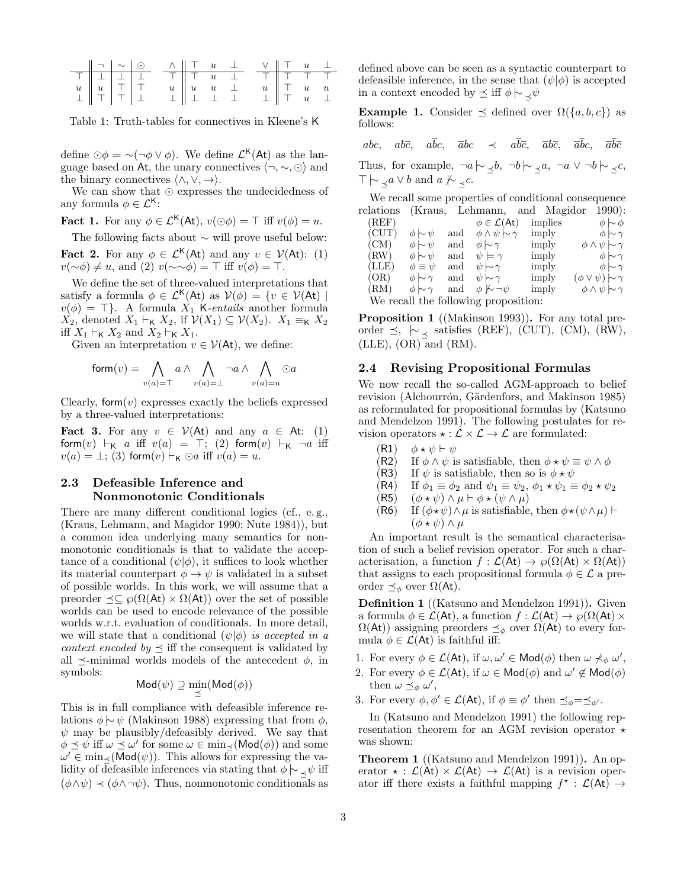| $   \neg   \sim   \odot$                                                                                                    |  |                                                                                                                            |                                     | $\wedge$ $\parallel$ T $u$ $\perp$  |  | $\vee$ $\parallel$ T $u$ $\perp$  |  |
|-----------------------------------------------------------------------------------------------------------------------------|--|----------------------------------------------------------------------------------------------------------------------------|-------------------------------------|-------------------------------------|--|-----------------------------------|--|
|                                                                                                                             |  | $\begin{array}{c ccccccccc}\n\hline\n\top & \top & \bot & u & \bot & \top & \top & \top & \top & \top & \top\n\end{array}$ |                                     |                                     |  |                                   |  |
|                                                                                                                             |  |                                                                                                                            |                                     | $u \parallel u \quad u \quad \perp$ |  | $u \parallel \top$ $u$ $u$        |  |
| $\begin{array}{c c c c c} \hline \top & \bot & \bot & \bot \\ u & u & \top & \top \\ \bot & \top & \top & \bot \end{array}$ |  |                                                                                                                            | $\perp \parallel \perp \perp \perp$ |                                     |  | $\perp$ $\parallel$ T $u$ $\perp$ |  |

Table 1: Truth-tables for connectives in Kleene's K

define  $\odot \phi = \sim (\neg \phi \lor \phi)$ . We define  $\mathcal{L}^{\mathsf{K}}(\mathsf{At})$  as the language based on At, the unary connectives  $\langle \neg, \sim, \odot \rangle$  and the binary connectives  $\langle \wedge, \vee, \rightarrow \rangle$ .

We can show that  $\odot$  expresses the undecidedness of any formula  $\phi \in \mathcal{L}^{\mathsf{K}}$ :

**Fact 1.** For any  $\phi \in \mathcal{L}^{K}(A_{t}), v(\odot \phi) = \top$  iff  $v(\phi) = u$ .

The following facts about ∼ will prove useful below: **Fact 2.** For any  $\phi \in \mathcal{L}^{\mathsf{K}}(\mathsf{At})$  and any  $v \in \mathcal{V}(\mathsf{At})$ : (1)  $v(\sim \phi) \neq u$ , and (2)  $v(\sim \sim \phi) = \top$  iff  $v(\phi) = \top$ .

We define the set of three-valued interpretations that satisfy a formula  $\phi \in \mathcal{L}^{\mathsf{K}}(\mathsf{At})$  as  $\mathcal{V}(\phi) = \{v \in \mathcal{V}(\mathsf{At}) \mid \phi \in \mathcal{V}(\mathsf{At})\}$  $v(\phi) = \top$ . A formula  $X_1$  K-entails another formula  $X_2$ , denoted  $X_1 \vdash_{\mathsf{K}} X_2$ , if  $\mathcal{V}(X_1) \subseteq \mathcal{V}(X_2)$ .  $X_1 \equiv_{\mathsf{K}} X_2$ iff  $X_1 \vdash_{\mathsf{K}} X_2$  and  $X_2 \vdash_{\mathsf{K}} X_1$ .

Given an interpretation  $v \in \mathcal{V}(\mathsf{At})$ , we define:

$$
\mathsf{form}(v) = \bigwedge_{v(a) = \top} a \land \bigwedge_{v(a) = \bot} \neg a \land \bigwedge_{v(a) = u} \odot a
$$

Clearly, form $(v)$  expresses exactly the beliefs expressed by a three-valued interpretations:

Fact 3. For any  $v \in V(\mathsf{At})$  and any  $a \in \mathsf{At}$ : (1) form $(v) \vdash_K a$  iff  $v(a) = \top$ ; (2) form $(v) \vdash_K \neg a$  iff  $v(a) = \bot$ ; (3) form $(v) \vdash_{\mathsf{K}} \odot a$  iff  $v(a) = u$ .

## 2.3 Defeasible Inference and Nonmonotonic Conditionals

There are many different conditional logics (cf., e. g., (Kraus, Lehmann, and Magidor 1990; Nute 1984)), but a common idea underlying many semantics for nonmonotonic conditionals is that to validate the acceptance of a conditional  $(\psi|\phi)$ , it suffices to look whether its material counterpart  $\phi \to \psi$  is validated in a subset of possible worlds. In this work, we will assume that a preorder  $\preceq \subseteq \wp(\Omega(\mathsf{At}) \times \Omega(\mathsf{At}))$  over the set of possible worlds can be used to encode relevance of the possible worlds w.r.t. evaluation of conditionals. In more detail, we will state that a conditional  $(\psi|\phi)$  is accepted in a *context encoded by*  $\preceq$  iff the consequent is validated by all  $\preceq$ -minimal worlds models of the antecedent  $\phi$ , in symbols:

$$
\mathsf{Mod}(\psi) \supseteq \min_{\preceq}(\mathsf{Mod}(\phi))
$$

This is in full compliance with defeasible inference relations  $\phi \sim \psi$  (Makinson 1988) expressing that from  $\phi$ ,  $\psi$  may be plausibly/defeasibly derived. We say that  $\phi \preceq \psi$  iff  $\omega \preceq \omega'$  for some  $\omega \in \min_{\preceq} (\mathsf{Mod}(\phi))$  and some  $\omega' \in \min_{\preceq} (\mathsf{Mod}(\psi))$ . This allows for expressing the validity of defeasible inferences via stating that  $\phi \sim \psi$  iff  $(\phi \land \psi) \prec (\phi \land \neg \psi)$ . Thus, nonmonotonic conditionals as

defined above can be seen as a syntactic counterpart to defeasible inference, in the sense that  $(\psi|\phi)$  is accepted in a context encoded by  $\preceq$  iff  $\phi \sim \neg \psi$ 

Example 1. Consider  $\preceq$  defined over  $\Omega({a, b, c})$  as follows:

abc, abc, a $\overline{b}c$ ,  $\overline{a}bc \prec a\overline{b}\overline{c}$ ,  $\overline{a}b\overline{c}$ ,  $\overline{a}\overline{b}c$ ,  $\overline{a}\overline{b}\overline{c}$ 

Thus, for example,  $\neg a \rightarrow \neg b \rightarrow \neg a, \neg a \lor \neg b \rightarrow \neg c,$  $\top \rightarrow \alpha \vee b$  and  $a \not\sim \neg c$ .

We recall some properties of conditional consequence relations (Kraus, Lehmann, and Magidor 1990):

| (REF)                                |                    |     | $\phi \in \mathcal{L}(\mathsf{At})$                                | implies | $\phi \sim \phi$               |  |  |  |  |
|--------------------------------------|--------------------|-----|--------------------------------------------------------------------|---------|--------------------------------|--|--|--|--|
| (CUT)                                | $\phi \sim \psi$   | and | $\phi \wedge \psi \sim \gamma$                                     | imply   | $\phi \sim \gamma$             |  |  |  |  |
| (CM)                                 | $\phi \sim \psi$   | and | $\phi \sim \gamma$                                                 | imply   | $\phi \wedge \psi \sim \gamma$ |  |  |  |  |
| (RW)                                 | $\phi \sim \psi$   | and | $\psi \models \gamma$                                              | imply   | $\phi \sim \gamma$             |  |  |  |  |
| (LLE)                                | $\phi \equiv \psi$ | and | $\psi \hspace{0.2em}\sim\hspace{-0.9em}\mid\hspace{0.58em} \gamma$ | imply   | $\phi \sim \gamma$             |  |  |  |  |
| (OR)                                 | $\phi \sim \gamma$ | and | $\psi \sim \gamma$                                                 | imply   | $(\phi \vee \psi) \sim \gamma$ |  |  |  |  |
| (RM)                                 | $\phi \sim \gamma$ | and | $\phi \nvdash \neg \psi$                                           | imply   | $\phi \wedge \psi \sim \gamma$ |  |  |  |  |
| We recall the following proposition: |                    |     |                                                                    |         |                                |  |  |  |  |
|                                      |                    |     |                                                                    |         |                                |  |  |  |  |

Proposition 1 ((Makinson 1993)). For any total preorder  $\preceq$ ,  $\sim$   $\prec$  satisfies (REF), (CUT), (CM), (RW),  $(LLE)$ ,  $(OR)$  and  $(RM)$ .

#### 2.4 Revising Propositional Formulas

We now recall the so-called AGM-approach to belief revision (Alchourrón, Gärdenfors, and Makinson 1985) as reformulated for propositional formulas by (Katsuno and Mendelzon 1991). The following postulates for revision operators  $\star : \mathcal{L} \times \mathcal{L} \to \mathcal{L}$  are formulated:

- $(R1)$   $\phi \star \psi \vdash \psi$
- (R2) If  $\phi \wedge \psi$  is satisfiable, then  $\phi \star \psi \equiv \psi \wedge \phi$
- (R3) If  $\psi$  is satisfiable, then so is  $\phi \star \psi$
- (R4) If  $\phi_1 \equiv \phi_2$  and  $\psi_1 \equiv \psi_2$ ,  $\phi_1 \star \psi_1 \equiv \phi_2 \star \psi_2$ <br>(R5)  $(\phi \star \psi) \wedge \mu \vdash \phi \star (\psi \wedge \mu)$
- $(\phi \star \psi) \wedge \mu \vdash \phi \star (\psi \wedge \mu)$
- (R6) If  $(\phi \star \psi) \wedge \mu$  is satisfiable, then  $\phi \star (\psi \wedge \mu)$   $\vdash$  $(\phi \star \psi) \wedge \mu$

An important result is the semantical characterisation of such a belief revision operator. For such a characterisation, a function  $f : \mathcal{L}(\mathsf{At}) \to \wp(\Omega(\mathsf{At}) \times \Omega(\mathsf{At}))$ that assigns to each propositional formula  $\phi \in \mathcal{L}$  a preorder  $\preceq_{\phi}$  over Ω(At).

Definition 1 ((Katsuno and Mendelzon 1991)). Given a formula  $\phi \in \mathcal{L}(\mathsf{At})$ , a function  $f: \mathcal{L}(\mathsf{At}) \to \wp(\Omega(\mathsf{At}) \times$  $\Omega(\mathsf{At})$ ) assigning preorders  $\preceq_{\phi}$  over  $\Omega(\mathsf{At})$  to every formula  $\phi \in \mathcal{L}(At)$  is faithful iff:

- 1. For every  $\phi \in \mathcal{L}(\mathsf{At})$ , if  $\omega, \omega' \in \mathsf{Mod}(\phi)$  then  $\omega \nprec_{\phi} \omega'$ ,
- 2. For every  $\phi \in \mathcal{L}(\mathsf{At})$ , if  $\omega \in \mathsf{Mod}(\phi)$  and  $\omega' \notin \mathsf{Mod}(\phi)$ then  $\omega \preceq_{\phi} \omega'$ ,
- 3. For every  $\phi, \phi' \in \mathcal{L}(\mathsf{At})$ , if  $\phi \equiv \phi'$  then  $\preceq_{\phi} = \preceq_{\phi'}$ .

In (Katsuno and Mendelzon 1991) the following representation theorem for an AGM revision operator  $\star$ was shown:

Theorem 1 ((Katsuno and Mendelzon 1991)). An operator  $\star : \mathcal{L}(\mathsf{At}) \times \mathcal{L}(\mathsf{At}) \to \mathcal{L}(\mathsf{At})$  is a revision operator iff there exists a faithful mapping  $f^* : \mathcal{L}(\mathsf{At}) \to$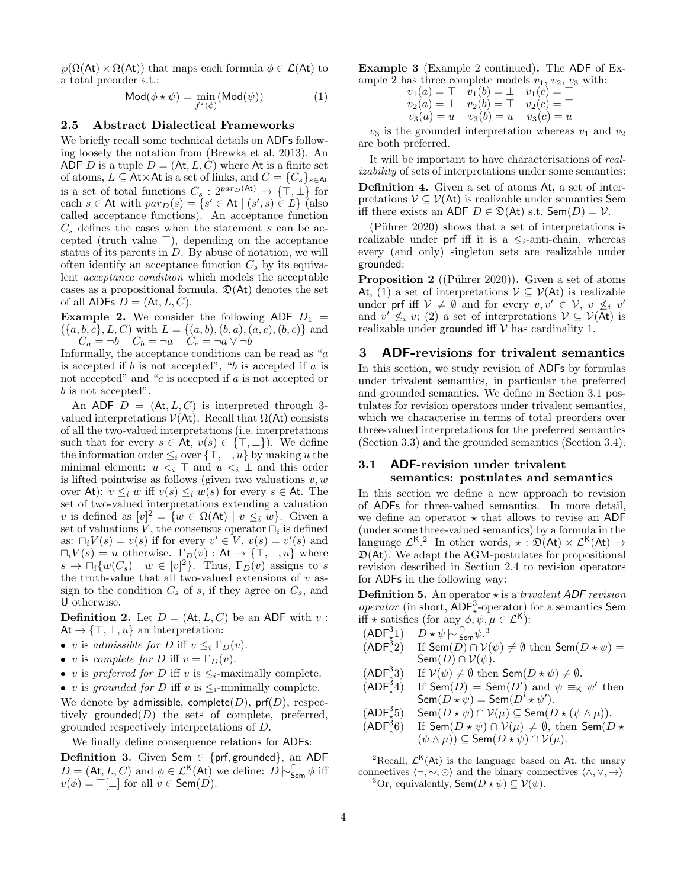$\wp(\Omega(\mathsf{At}) \times \Omega(\mathsf{At}))$  that maps each formula  $\phi \in \mathcal{L}(\mathsf{At})$  to a total preorder s.t.:

$$
\mathsf{Mod}(\phi \star \psi) = \min_{f^{\star}(\phi)} (\mathsf{Mod}(\psi)) \tag{1}
$$

#### 2.5 Abstract Dialectical Frameworks

We briefly recall some technical details on ADFs following loosely the notation from (Brewka et al. 2013). An ADF D is a tuple  $D = (\mathsf{At}, L, C)$  where At is a finite set of atoms,  $L \subseteq At \times At$  is a set of links, and  $C = \{C_s\}_{s \in At}$ is a set of total functions  $C_s : 2^{par_D(\text{At})} \to {\{\top, \bot\}}$  for each  $s \in$  At with  $par_D(s) = \{s' \in$  At  $| (s', s) \in L\}$  (also called acceptance functions). An acceptance function  $C_s$  defines the cases when the statement s can be accepted (truth value  $\top$ ), depending on the acceptance status of its parents in  $D$ . By abuse of notation, we will often identify an acceptance function  $C_s$  by its equivalent acceptance condition which models the acceptable cases as a propositional formula.  $\mathcal{D}(At)$  denotes the set of all ADFs  $D = (At, L, C)$ .

**Example 2.** We consider the following ADF  $D_1$  =  $({a, b, c}, L, C)$  with  $L = {(a, b), (b, a), (a, c), (b, c)}$  and  $C_a = \neg b$   $C_b = \neg a$   $C_c = \neg a \vee \neg b$ 

Informally, the acceptance conditions can be read as "a is accepted if  $b$  is not accepted", " $b$  is accepted if  $a$  is not accepted" and "c is accepted if a is not accepted or b is not accepted".

An ADF  $D = (At, L, C)$  is interpreted through 3valued interpretations  $V(At)$ . Recall that  $\Omega(At)$  consists of all the two-valued interpretations (i.e. interpretations such that for every  $s \in At$ ,  $v(s) \in \{\top, \bot\}$ . We define the information order  $\leq_i$  over  $\{\top, \bot, u\}$  by making u the minimal element:  $u *i*$   $\top$  and  $u *i*$   $\bot$  and this order is lifted pointwise as follows (given two valuations  $v, w$ over At):  $v \leq_i w$  iff  $v(s) \leq_i w(s)$  for every  $s \in$  At. The set of two-valued interpretations extending a valuation v is defined as  $[v]^2 = \{w \in \Omega(\mathsf{At}) \mid v \leq_i w\}.$  Given a set of valuations V, the consensus operator  $\Box_i$  is defined as:  $\Box_i V(s) = v(s)$  if for every  $v' \in V$ ,  $v(s) = v'(s)$  and  $\Box_i V(s) = u$  otherwise.  $\Gamma_D(v) : At \rightarrow \{\top, \bot, u\}$  where  $s \to \Box_i \{w(C_s) \mid w \in [v]^2\}$ . Thus,  $\Gamma_D(v)$  assigns to s the truth-value that all two-valued extensions of  $v$  assign to the condition  $C_s$  of s, if they agree on  $C_s$ , and U otherwise.

**Definition 2.** Let  $D = (\mathsf{At}, L, C)$  be an ADF with v:  $At \rightarrow \{\top, \bot, u\}$  an interpretation:

- v is admissible for D iff  $v \leq_i \Gamma_D(v)$ .
- v is complete for D iff  $v = \Gamma_D(v)$ .
- v is preferred for D iff v is  $\leq_i$ -maximally complete.
- v is grounded for D iff v is  $\leq_i$ -minimally complete.

We denote by admissible, complete( $D$ ), prf( $D$ ), respectively grounded $(D)$  the sets of complete, preferred, grounded respectively interpretations of D.

We finally define consequence relations for ADFs:

Definition 3. Given Sem ∈ {prf, grounded}, an ADF  $D = (\mathsf{At}, L, C)$  and  $\phi \in \mathcal{L}^{\mathsf{K}}(\mathsf{At})$  we define:  $D \models_{\mathsf{Sem}}^{\cap} \phi$  iff  $v(\phi) = \top[\bot]$  for all  $v \in \mathsf{Sem}(D)$ .

Example 3 (Example 2 continued). The ADF of Example 2 has three complete models  $v_1, v_2, v_3$  with:

$$
v_1(a) = \top \t v_1(b) = \bot \t v_1(c) = \top v_2(a) = \bot \t v_2(b) = \top \t v_2(c) = \top v_3(a) = u \t v_3(b) = u \t v_3(c) = u
$$

 $v_3$  is the grounded interpretation whereas  $v_1$  and  $v_2$ are both preferred.

It will be important to have characterisations of realizability of sets of interpretations under some semantics:

Definition 4. Given a set of atoms At, a set of interpretations  $V \subseteq V(\mathsf{At})$  is realizable under semantics Sem iff there exists an ADF  $D \in \mathfrak{D}(\mathsf{At})$  s.t. Sem $(D) = \mathcal{V}$ .

(Pührer 2020) shows that a set of interpretations is realizable under prf iff it is a  $\leq_i$ -anti-chain, whereas every (and only) singleton sets are realizable under grounded:

**Proposition 2** ((Pührer 2020)). Given a set of atoms At, (1) a set of interpretations  $\mathcal{V} \subseteq \mathcal{V}(A_t)$  is realizable under prf iff  $V \neq \emptyset$  and for every  $v, v' \in V$ ,  $v \not\leq i v'$ and  $v' \nleq_i v$ ; (2) a set of interpretations  $V \subseteq V(\mathsf{At})$  is realizable under grounded iff  $V$  has cardinality 1.

### 3 ADF-revisions for trivalent semantics

In this section, we study revision of ADFs by formulas under trivalent semantics, in particular the preferred and grounded semantics. We define in Section 3.1 postulates for revision operators under trivalent semantics, which we characterise in terms of total preorders over three-valued interpretations for the preferred semantics (Section 3.3) and the grounded semantics (Section 3.4).

### 3.1 ADF-revision under trivalent semantics: postulates and semantics

In this section we define a new approach to revision of ADFs for three-valued semantics. In more detail, we define an operator  $\star$  that allows to revise an ADF (under some three-valued semantics) by a formula in the language  $\mathcal{L}^{K,2}$  In other words,  $\star : \mathfrak{D}(\mathsf{At}) \times \mathcal{L}^{K}(\mathsf{At}) \rightarrow$  $\mathfrak{D}(A_{t})$ . We adapt the AGM-postulates for propositional revision described in Section 2.4 to revision operators for ADFs in the following way:

**Definition 5.** An operator  $\star$  is a trivalent ADF revision operator (in short,  $ADF<sub>*</sub><sup>3</sup>$ -operator) for a semantics Sem iff  $\star$  satisfies (for any  $\phi, \psi, \mu \in \mathcal{L}^{\mathsf{K}}$ ):

$$
(\mathsf{ADF}^3_{\sharp}1) \quad D \star \psi \hspace{0.2em}\sim\hspace{-0.9em}\mid\hspace{0.58em} \mathsf{Com} \hspace{0.5em} \psi^{3}
$$

- $(ADF<sub>4</sub><sup>3</sup>2)$  $\chi^3$ 2) If Sem $(D) \cap V(\psi) \neq \emptyset$  then Sem $(D * \psi) =$ Sem $(D) \cap V(\psi)$ .
- $(ADF<sub>4</sub><sup>3</sup>3)$ If  $V(\psi) \neq \emptyset$  then  $\mathsf{Sem}(D \star \psi) \neq \emptyset$ .
- $(ADF<sub>*</sub><sup>3</sup>4)$  $\frac{3}{\star}4)$  If Sem $(D)$  = Sem $(D')$  and  $\psi \equiv_K \psi'$  then  $\mathsf{Sem}(D \star \psi) = \mathsf{Sem}(D' \star \psi').$

$$
(\mathsf{ADF}^3_{\star}5) \quad \mathsf{Sem}(D \star \psi) \cap \mathcal{V}(\mu) \subseteq \mathsf{Sem}(D \star (\psi \wedge \mu)).
$$

$$
\begin{array}{ll} \n\text{(ADF}_\star^3 6) & \text{If } \textsf{Sem}(D \star \psi) \cap \mathcal{V}(\mu) \neq \emptyset, \text{ then } \textsf{Sem}(D \star \psi) \\ \n\quad (\psi \wedge \mu)) \subseteq \textsf{Sem}(D \star \psi) \cap \mathcal{V}(\mu). \n\end{array}
$$

<sup>2</sup>Recall,  $\mathcal{L}^{K}(A t)$  is the language based on At, the unary connectives  $\langle \neg, \sim, \odot \rangle$  and the binary connectives  $\langle \land, \lor, \rightarrow \rangle$ <sup>3</sup>Or, equivalently,  $\mathsf{Sem}(D \star \psi) \subseteq \mathcal{V}(\psi)$ .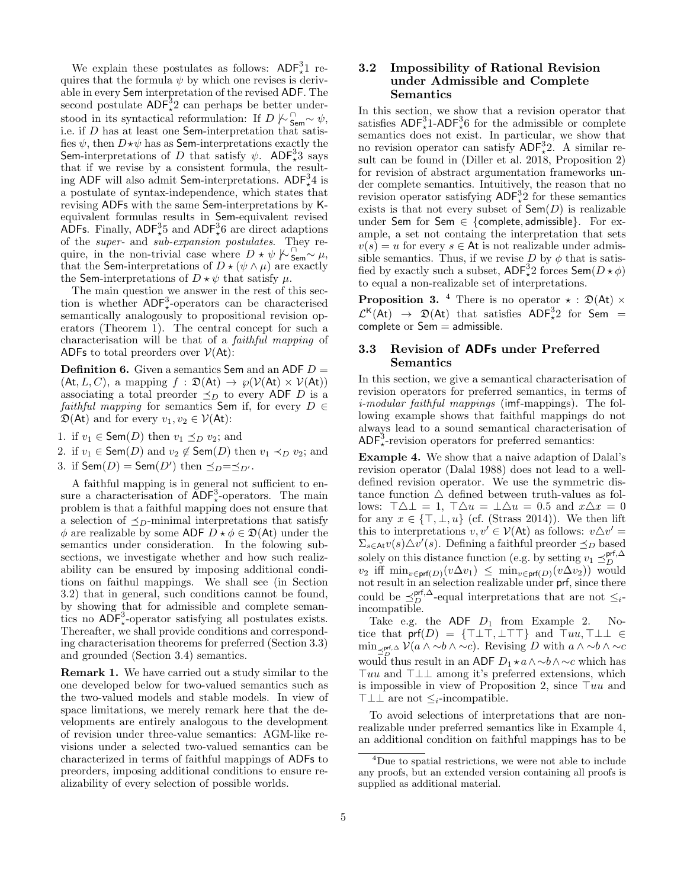We explain these postulates as follows:  $ADF<sub>*</sub><sup>3</sup>1$  requires that the formula  $\psi$  by which one revises is derivable in every Sem interpretation of the revised ADF. The second postulate  $ADF^3_{\star}2$  can perhaps be better understood in its syntactical reformulation: If  $D \nmid \frac{C}{5em} \sim \psi$ , i.e. if D has at least one Sem-interpretation that satisfies  $\psi$ , then  $D\star\psi$  has as Sem-interpretations exactly the Sem-interpretations of D that satisfy  $\psi$ . ADF<sup>3</sup><sub>\*</sub>3<sup>°</sup> says that if we revise by a consistent formula, the resulting ADF will also admit Sem-interpretations.  $ADF_{*}^{3}4$  is a postulate of syntax-independence, which states that revising ADFs with the same Sem-interpretations by Kequivalent formulas results in Sem-equivalent revised ADFs. Finally,  $ADF^3_{\star}5$  and  $ADF^3_{\star}6$  are direct adaptions of the super- and sub-expansion postulates. They require, in the non-trivial case where  $D \star \psi \n\sim \mathcal{S}_{\text{sem}}^{\text{com}} \sim \mu$ , that the Sem-interpretations of  $D \star (\psi \wedge \mu)$  are exactly the Sem-interpretations of  $D \star \psi$  that satisfy  $\mu$ .

The main question we answer in the rest of this section is whether  $ADF<sub>*</sub><sup>3</sup>$ -operators can be characterised semantically analogously to propositional revision operators (Theorem 1). The central concept for such a characterisation will be that of a faithful mapping of ADFs to total preorders over  $V(At)$ :

**Definition 6.** Given a semantics Sem and an ADF  $D =$  $(At, L, C)$ , a mapping  $f : \mathfrak{D}(At) \to \wp(\mathcal{V}(At) \times \mathcal{V}(At))$ associating a total preorder  $\preceq_D$  to every ADF D is a faithful mapping for semantics Sem if, for every  $D \in$  $\mathfrak{D}(At)$  and for every  $v_1, v_2 \in \mathcal{V}(At)$ :

1. if  $v_1 \in \text{Sem}(D)$  then  $v_1 \preceq_D v_2$ ; and

2. if  $v_1 \in \text{Sem}(D)$  and  $v_2 \notin \text{Sem}(D)$  then  $v_1 \prec_D v_2$ ; and 3. if  $\mathsf{Sem}(D) = \mathsf{Sem}(D')$  then  $\preceq_D = \preceq_{D'}$ .

A faithful mapping is in general not sufficient to ensure a characterisation of  $\angle ADF^3_*$ -operators. The main problem is that a faithful mapping does not ensure that a selection of  $\preceq_D$ -minimal interpretations that satisfy  $\phi$  are realizable by some ADF  $D \star \phi \in \mathcal{D}(\mathsf{At})$  under the semantics under consideration. In the folowing subsections, we investigate whether and how such realizability can be ensured by imposing additional conditions on faithul mappings. We shall see (in Section 3.2) that in general, such conditions cannot be found, by showing that for admissible and complete semantics no  $ADF<sub>*</sub><sup>3</sup>$ -operator satisfying all postulates exists. Thereafter, we shall provide conditions and corresponding characterisation theorems for preferred (Section 3.3) and grounded (Section 3.4) semantics.

Remark 1. We have carried out a study similar to the one developed below for two-valued semantics such as the two-valued models and stable models. In view of space limitations, we merely remark here that the developments are entirely analogous to the development of revision under three-value semantics: AGM-like revisions under a selected two-valued semantics can be characterized in terms of faithful mappings of ADFs to preorders, imposing additional conditions to ensure realizability of every selection of possible worlds.

### 3.2 Impossibility of Rational Revision under Admissible and Complete Semantics

In this section, we show that a revision operator that satisfies  $ADF<sub>*</sub><sup>3</sup>1-ADF<sub>*</sub><sup>3</sup>6$  for the admissible or complete semantics does not exist. In particular, we show that no revision operator can satisfy  $ADF^3_{\star}2$ . A similar result can be found in (Diller et al. 2018, Proposition 2) for revision of abstract argumentation frameworks under complete semantics. Intuitively, the reason that no revision operator satisfying  $ADF^3_{\star 2}$  for these semantics exists is that not every subset of  $Sem(D)$  is realizable under Sem for Sem  $\in$  {complete, admissible}. For example, a set not containg the interpretation that sets  $v(s) = u$  for every  $s \in \mathsf{At}$  is not realizable under admissible semantics. Thus, if we revise  $D$  by  $\phi$  that is satisfied by exactly such a subset,  $\mathsf{ADF}^3_\star 2$  forces  $\mathsf{Sem}(D \star \phi)$ to equal a non-realizable set of interpretations.

**Proposition 3.** <sup>4</sup> There is no operator  $\star : \mathfrak{D}(\mathsf{At}) \times$  $\mathcal{L}^{\mathsf{K}}(\mathsf{At}) \rightarrow \mathfrak{D}(\mathsf{At})$  that satisfies  $\mathsf{ADF}^3_{*}2$  for Sem =  $complete or Sem = admissible.$ 

### 3.3 Revision of ADFs under Preferred Semantics

In this section, we give a semantical characterisation of revision operators for preferred semantics, in terms of i-modular faithful mappings (imf-mappings). The following example shows that faithful mappings do not always lead to a sound semantical characterisation of  $ADF^3_{\star}$ -revision operators for preferred semantics:

Example 4. We show that a naive adaption of Dalal's revision operator (Dalal 1988) does not lead to a welldefined revision operator. We use the symmetric distance function  $\triangle$  defined between truth-values as follows:  $\top \triangle \bot = 1$ ,  $\top \triangle u = \bot \triangle u = 0.5$  and  $x \triangle x = 0$ for any  $x \in \{\top, \bot, u\}$  (cf. (Strass 2014)). We then lift this to interpretations  $v, v' \in V(\mathsf{At})$  as follows:  $v \triangle v' =$  $\Sigma_{s \in \mathsf{At}} v(s) \Delta v'(s)$ . Defining a faithful preorder  $\preceq_D$  based solely on this distance function (e.g. by setting  $v_1 \preceq^{prf,\Delta}_{D}$  $v_2$  iff  $\min_{v \in \text{prf}(D)} (v \Delta v_1) \leq \min_{v \in \text{prf}(D)} (v \Delta v_2)$  would not result in an selection realizable under prf, since there could be  $\leq_{D}^{\text{prf},\Delta}$ -equal interpretations that are not  $\leq_{i}$ incompatible.

Take e.g. the  $ADF$   $D_1$  from Example 2. Notice that  $\text{prf}(D) = {\{\top \bot \top, \bot \top \}}$  and  $\top uu, \top \bot \bot \in$  $\min_{\preceq^{\text{prf},\Delta}_{D}} \mathcal{V}(a \wedge \neg b \wedge \neg c)$ . Revising D with  $a \wedge \neg b \wedge \neg c$ would thus result in an ADF  $D_1 \star a \wedge \sim b \wedge \sim c$  which has  $\top uu$  and  $\top \perp \perp$  among it's preferred extensions, which is impossible in view of Proposition 2, since  $\tau u u$  and  $\top \perp \perp$  are not  $\leq_i$ -incompatible.

To avoid selections of interpretations that are nonrealizable under preferred semantics like in Example 4, an additional condition on faithful mappings has to be

<sup>4</sup>Due to spatial restrictions, we were not able to include any proofs, but an extended version containing all proofs is supplied as additional material.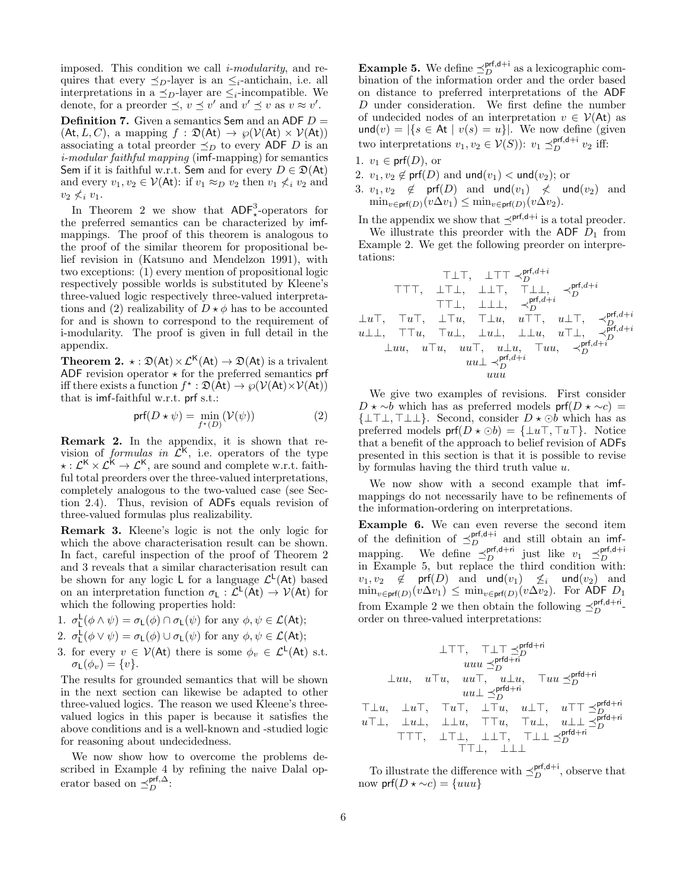imposed. This condition we call  $i$ -modularity, and requires that every  $\preceq_D$ -layer is an  $\leq_i$ -antichain, i.e. all interpretations in a  $\preceq_D$ -layer are  $\leq_i$ -incompatible. We denote, for a preorder  $\preceq, v \preceq v'$  and  $v' \preceq v$  as  $v \approx v'$ .

**Definition 7.** Given a semantics Sem and an ADF  $D =$  $(At, L, C)$ , a mapping  $f : \mathfrak{D}(At) \to \wp(\mathcal{V}(At) \times \mathcal{V}(At))$ associating a total preorder  $\preceq_D$  to every ADF D is an i-modular faithful mapping (imf-mapping) for semantics Sem if it is faithful w.r.t. Sem and for every  $D \in \mathfrak{D}(\mathsf{At})$ and every  $v_1, v_2 \in \mathcal{V}(\mathsf{At})$ : if  $v_1 \approx_D v_2$  then  $v_1 \not\leq_i v_2$  and  $v_2 \nless i v_1$ .

In Theorem 2 we show that  $ADF<sub>*</sub><sup>3</sup>$ -operators for the preferred semantics can be characterized by imfmappings. The proof of this theorem is analogous to the proof of the similar theorem for propositional belief revision in (Katsuno and Mendelzon 1991), with two exceptions: (1) every mention of propositional logic respectively possible worlds is substituted by Kleene's three-valued logic respectively three-valued interpretations and (2) realizability of  $D \star \phi$  has to be accounted for and is shown to correspond to the requirement of i-modularity. The proof is given in full detail in the appendix.

**Theorem 2.**  $\star : \mathfrak{D}(\mathsf{At}) \times \mathcal{L}^{\mathsf{K}}(\mathsf{At}) \to \mathfrak{D}(\mathsf{At})$  is a trivalent ADF revision operator  $\star$  for the preferred semantics prf iff there exists a function  $f^* : \mathfrak{D}(\mathsf{At}) \to \wp(\mathcal{V}(\mathsf{At}) \times \mathcal{V}(\mathsf{At}))$ that is imf-faithful w.r.t. prf s.t.:

$$
\text{prf}(D \star \psi) = \min_{f^{\star}(D)} (\mathcal{V}(\psi)) \tag{2}
$$

Remark 2. In the appendix, it is shown that revision of *formulas in*  $\mathcal{L}^{\mathsf{K}}$ , i.e. operators of the type  $\star : \mathcal{L}^{\mathsf{K}} \times \mathcal{L}^{\mathsf{K}} \to \mathcal{L}^{\mathsf{K}}$ , are sound and complete w.r.t. faithful total preorders over the three-valued interpretations, completely analogous to the two-valued case (see Section 2.4). Thus, revision of ADFs equals revision of three-valued formulas plus realizability.

Remark 3. Kleene's logic is not the only logic for which the above characterisation result can be shown. In fact, careful inspection of the proof of Theorem 2 and 3 reveals that a similar characterisation result can be shown for any logic L for a language  $\mathcal{L}^{\mathsf{L}}(\mathsf{At})$  based on an interpretation function  $\sigma_L : \tilde{\mathcal{L}}^L(\tilde{A}t) \to \mathcal{V}(At)$  for which the following properties hold:

1.  $\sigma_{\mathsf{L}}^{\mathsf{L}}(\phi \wedge \psi) = \sigma_{\mathsf{L}}(\phi) \cap \sigma_{\mathsf{L}}(\psi)$  for any  $\phi, \psi \in \mathcal{L}(\mathsf{At})$ ;

2. 
$$
\sigma_{\mathsf{L}}^{\mathsf{L}}(\phi \vee \psi) = \sigma_{\mathsf{L}}(\phi) \cup \sigma_{\mathsf{L}}(\psi)
$$
 for any  $\phi, \psi \in \mathcal{L}(\mathsf{At})$ ;

3. for every  $v \in \mathcal{V}(\mathsf{At})$  there is some  $\phi_v \in \mathcal{L}^{\mathsf{L}}(\mathsf{At})$  s.t.  $\sigma_{\mathsf{L}}(\phi_v) = \{v\}.$ 

The results for grounded semantics that will be shown in the next section can likewise be adapted to other three-valued logics. The reason we used Kleene's threevalued logics in this paper is because it satisfies the above conditions and is a well-known and -studied logic for reasoning about undecidedness.

We now show how to overcome the problems described in Example 4 by refining the naive Dalal operator based on  $\preceq_{D}^{\text{prf},\Delta}$ :

**Example 5.** We define  $\leq_D^{\text{prf,d+i}}$  as a lexicographic combination of the information order and the order based on distance to preferred interpretations of the ADF D under consideration. We first define the number of undecided nodes of an interpretation  $v \in \mathcal{V}(A_t)$  as  $\textsf{und}(v) = |\{s \in \mathsf{At} \mid v(s) = u\}|.$  We now define (given two interpretations  $v_1, v_2 \in V(S)$ :  $v_1 \preceq_D^{\text{prf,d+i}} v_2$  iff:

- 1.  $v_1 \in \text{prf}(D)$ , or
- 2.  $v_1, v_2 \notin \text{prf}(D)$  and und $(v_1) < \text{und}(v_2)$ ; or
- 3.  $v_1, v_2 \notin \text{prf}(D)$  and  $\text{und}(v_1) \nless \text{und}(v_2)$  and  $\min_{v \in \textsf{prf}(D)} (v\Delta v_1) \leq \min_{v \in \textsf{prf}(D)} (v\Delta v_2).$

In the appendix we show that  $\preceq^{\text{prf},d+i}$  is a total preoder.

We illustrate this preorder with the ADF  $D_1$  from Example 2. We get the following preorder on interpretations:

$$
\begin{array}{cccc} \top \bot \top, & \bot \top \top \prec^{prf,d+i}_D & \\ \top \top \top, & \bot \top \bot, & \bot \bot \top, & \top \bot \bot \bot, & \prec^{prf,d+i}_D & \\ \top \top \bot, & \bot \bot \bot, & \prec^{prf,d+i}_D & \\ \bot u \top, & \top u \top, & \bot \top u, & u \top \top, & u \bot \top, & \prec^{prf,d+i}_D & \\ u \bot \bot, & \top \top u, & \top u \bot, & \bot u \bot, & \bot u, & u \top \bot, & \prec^{prf,d+i}_D & \\ & \bot uu, & u \top u, & u u \top, & u \bot u, & \top uu, & \prec^{prf,d+i}_D & \\ & & u u \bot \prec^{prf,d+i}_D & \\ & & u u u & & \\ \end{array}
$$

We give two examples of revisions. First consider  $D \star \sim b$  which has as preferred models prf( $D \star \sim c$ ) =  $\{\perp\top\perp, \perp\perp\}.$  Second, consider  $D \star \odot b$  which has as preferred models  $\text{prf}(D \star \odot b) = {\perp u \top, \top u \top}.$  Notice that a benefit of the approach to belief revision of ADFs presented in this section is that it is possible to revise by formulas having the third truth value u.

We now show with a second example that imfmappings do not necessarily have to be refinements of the information-ordering on interpretations.

Example 6. We can even reverse the second item of the definition of  $\leq_D^{\text{prf,d+i}}$  and still obtain an imfmapping. We define  $\preceq_D^{\text{prf},d+i}$  just like  $v_1 \preceq_D^{\text{prf},d+i}$ <br>in Example 5, but replace the third condition with:  $v_1, v_2 \notin \text{prf}(D)$  and  $\text{und}(v_1) \nleq i \text{und}(v_2)$  and  $\min_{v \in \text{prf}(D)} (v \Delta v_1) \leq \min_{v \in \text{prf}(D)} (v \Delta v_2)$ . For ADF  $D_1$ from Example 2 we then obtain the following  $\preceq_D^{\text{prf},d+r}$ . order on three-valued interpretations:

$$
\begin{array}{cccc} \bot \top \top, & \top \bot \top \preceq^{prfd+ri}_{D} \\ & u u u \preceq^{prfd+ri}_{D} \\ \bot u u, & u \top u, & u u \top, & u \bot u, & \top u u \preceq^{prfd+ri}_{D} \\ & u u \bot \preceq^{prfd+ri}_{D} \\ \top \bot u, & \bot u \top, & \top u \top, & u \bot \top, & u \top \top \preceq^{prfd+ri}_{D} \\ & u \top \bot, & \bot u \bot, & \top \top u, & \top u \bot, & u \bot \bot \preceq^{prfd+ri}_{D} \\ & & \top \top \bot, & \bot \bot \top, & \top \bot \bot \preceq^{prfd+ri}_{D} \end{array}
$$

To illustrate the difference with  $\preceq_D^{\text{prf},d+i}$ , observe that now  $\text{prf}(D \star \sim c) = \{uuu\}$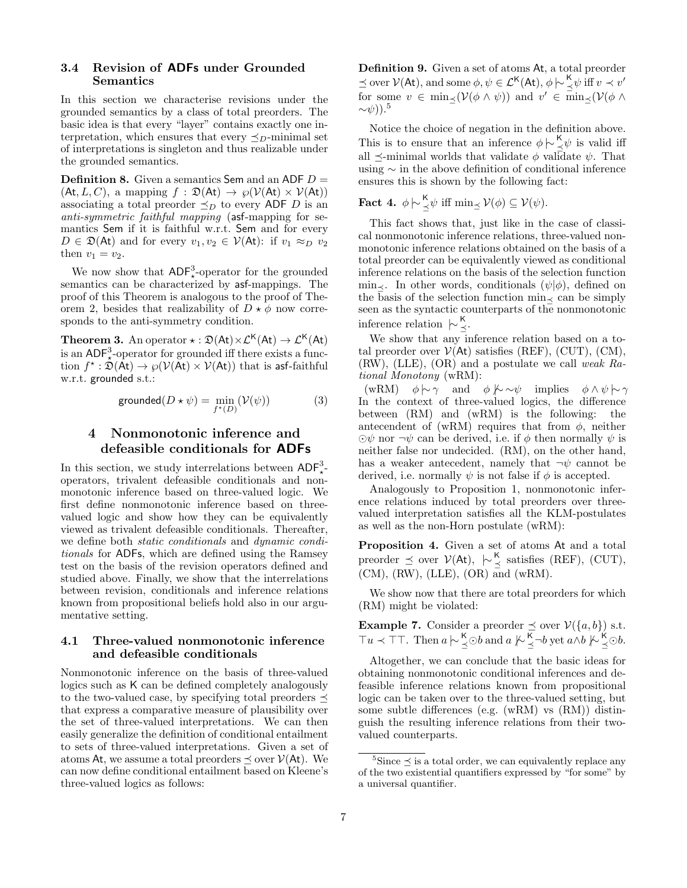### 3.4 Revision of ADFs under Grounded Semantics

In this section we characterise revisions under the grounded semantics by a class of total preorders. The basic idea is that every "layer" contains exactly one interpretation, which ensures that every  $\preceq_D$ -minimal set of interpretations is singleton and thus realizable under the grounded semantics.

**Definition 8.** Given a semantics Sem and an ADF  $D =$  $(At, L, C)$ , a mapping  $f : \mathfrak{D}(At) \to \wp(\mathcal{V}(At) \times \mathcal{V}(At))$ associating a total preorder  $\preceq_D$  to every ADF D is an anti-symmetric faithful mapping (asf-mapping for semantics Sem if it is faithful w.r.t. Sem and for every  $D \in \mathfrak{D}(\mathsf{At})$  and for every  $v_1, v_2 \in \mathcal{V}(\mathsf{At})$ : if  $v_1 \approx_D v_2$ then  $v_1 = v_2$ .

We now show that  $\mathsf{ADF}_*^3$ -operator for the grounded semantics can be characterized by asf-mappings. The proof of this Theorem is analogous to the proof of Theorem 2, besides that realizability of  $D \star \phi$  now corresponds to the anti-symmetry condition.

**Theorem 3.** An operator  $\star : \mathfrak{D}(\mathsf{At}) \times \mathcal{L}^{\mathsf{K}}(\mathsf{At}) \to \mathcal{L}^{\mathsf{K}}(\mathsf{At})$ is an  $\mathsf{ADF}_\star^3$ -operator for grounded iff there exists a function  $f^{\star}:\hat{\mathfrak{D}}(\bar{\mathsf{A}}\mathsf{t})\to \wp(\mathcal{V}(\bar{\mathsf{A}}\mathsf{t})\times \mathcal{V}(\mathsf{A}\mathsf{t}))$  that is asf-faithful w.r.t. grounded s.t.:

$$
\text{grounded}(D \star \psi) = \min_{f^{\star}(D)} (\mathcal{V}(\psi)) \tag{3}
$$

# 4 Nonmonotonic inference and defeasible conditionals for ADFs

In this section, we study interrelations between  $\mathsf{ADF}^3_{\star}$ operators, trivalent defeasible conditionals and nonmonotonic inference based on three-valued logic. We first define nonmonotonic inference based on threevalued logic and show how they can be equivalently viewed as trivalent defeasible conditionals. Thereafter, we define both static conditionals and dynamic conditionals for ADFs, which are defined using the Ramsey test on the basis of the revision operators defined and studied above. Finally, we show that the interrelations between revision, conditionals and inference relations known from propositional beliefs hold also in our argumentative setting.

### 4.1 Three-valued nonmonotonic inference and defeasible conditionals

Nonmonotonic inference on the basis of three-valued logics such as K can be defined completely analogously to the two-valued case, by specifying total preorders  $\preceq$ that express a comparative measure of plausibility over the set of three-valued interpretations. We can then easily generalize the definition of conditional entailment to sets of three-valued interpretations. Given a set of atoms At, we assume a total preorders  $\preceq$  over  $V(\mathsf{At})$ . We can now define conditional entailment based on Kleene's three-valued logics as follows:

Definition 9. Given a set of atoms At, a total preorder  $\leq$  over  $\mathcal{V}(\mathsf{At})$ , and some  $\phi, \psi \in \mathcal{L}^{\mathsf{K}}(\mathsf{At}), \phi \sim \frac{\mathsf{K}}{\leq} \psi$  iff  $v \prec v'$ for some  $v \in \min_{\preceq} (\mathcal{V}(\phi \land \psi))$  and  $v' \in \min_{\preceq} (\mathcal{V}(\phi \land \psi))$  $\sim\psi$ )).<sup>5</sup>

Notice the choice of negation in the definition above. This is to ensure that an inference  $\phi \n\sim \frac{\kappa}{\leq} \psi$  is valid iff all  $\prec$ -minimal worlds that validate  $\phi$  validate  $\psi$ . That using ∼ in the above definition of conditional inference ensures this is shown by the following fact:

**Fact 4.** 
$$
\phi \sim \frac{\mathsf{K}}{\leq} \psi
$$
 iff  $\min_{\preceq} \mathcal{V}(\phi) \subseteq \mathcal{V}(\psi)$ .

This fact shows that, just like in the case of classical nonmonotonic inference relations, three-valued nonmonotonic inference relations obtained on the basis of a total preorder can be equivalently viewed as conditional inference relations on the basis of the selection function min $\prec$ . In other words, conditionals  $(\psi | \phi)$ , defined on the basis of the selection function  $\min_{\leq}$  can be simply seen as the syntactic counterparts of the nonmonotonic inference relation  $\,\mathop{\sim}\nolimits_{\preceq}^{\mathsf{K}}\,$ 

We show that any inference relation based on a total preorder over  $V(\text{At})$  satisfies (REF), (CUT), (CM), (RW), (LLE), (OR) and a postulate we call weak Rational Monotony (wRM):

(wRM)  $\phi \sim \gamma$  and  $\phi \not\sim \sim \psi$  implies  $\phi \wedge \psi \sim \gamma$ In the context of three-valued logics, the difference between (RM) and (wRM) is the following: the antecendent of (wRM) requires that from  $\phi$ , neither  $\odot\psi$  nor  $\neg\psi$  can be derived, i.e. if  $\phi$  then normally  $\psi$  is neither false nor undecided. (RM), on the other hand, has a weaker antecedent, namely that  $\neg \psi$  cannot be derived, i.e. normally  $\psi$  is not false if  $\phi$  is accepted.

Analogously to Proposition 1, nonmonotonic inference relations induced by total preorders over threevalued interpretation satisfies all the KLM-postulates as well as the non-Horn postulate (wRM):

Proposition 4. Given a set of atoms At and a total preorder  $\preceq$  over  $V(\mathsf{At}), \ \ \big\sim_{\preceq}^{\mathsf{K}}$  satisfies (REF), (CUT),  $(CM)$ ,  $(RW)$ ,  $(LLE)$ ,  $(OR)$  and  $(wRM)$ .

We show now that there are total preorders for which (RM) might be violated:

**Example 7.** Consider a preorder  $\preceq$  over  $V({a,b})$  s.t.  $\top u \prec \top \top$ . Then  $a \n\sim \frac{\mathsf{K}}{\preceq} \odot b$  and  $a \n\sim \frac{\mathsf{K}}{\preceq} \neg b$  yet  $a \wedge b \n\sim \frac{\mathsf{K}}{\preceq} \odot b$ .

Altogether, we can conclude that the basic ideas for obtaining nonmonotonic conditional inferences and defeasible inference relations known from propositional logic can be taken over to the three-valued setting, but some subtle differences (e.g. (wRM) vs (RM)) distinguish the resulting inference relations from their twovalued counterparts.

 $5\text{Since} \leq$  is a total order, we can equivalently replace any of the two existential quantifiers expressed by "for some" by a universal quantifier.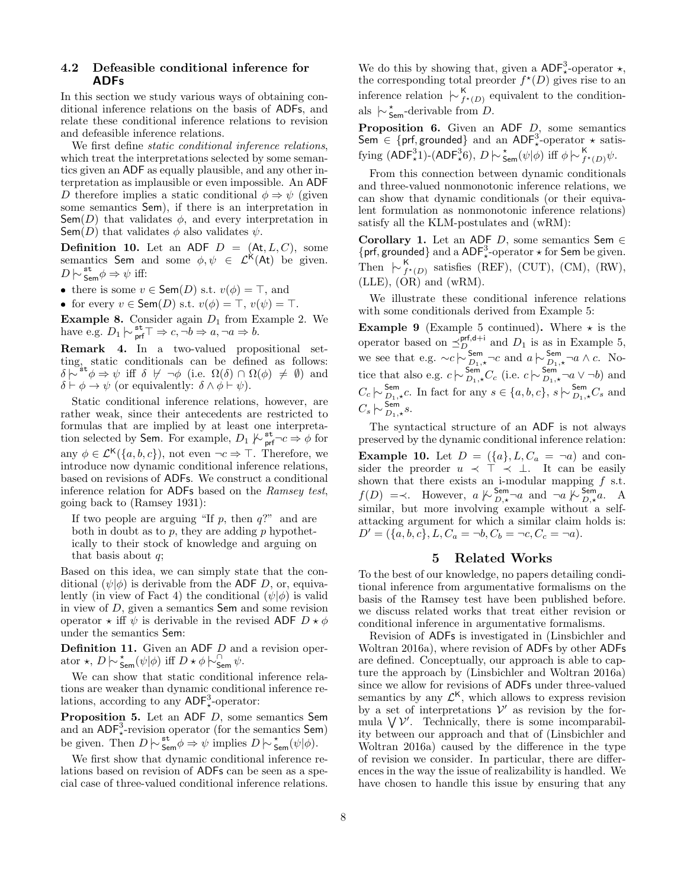### 4.2 Defeasible conditional inference for ADFs

In this section we study various ways of obtaining conditional inference relations on the basis of ADFs, and relate these conditional inference relations to revision and defeasible inference relations.

We first define static conditional inference relations, which treat the interpretations selected by some semantics given an ADF as equally plausible, and any other interpretation as implausible or even impossible. An ADF D therefore implies a static conditional  $\phi \Rightarrow \psi$  (given some semantics Sem), if there is an interpretation in Sem(D) that validates  $\phi$ , and every interpretation in Sem(D) that validates  $\phi$  also validates  $\psi$ .

**Definition 10.** Let an ADF  $D = (At, L, C)$ , some semantics Sem and some  $\phi, \psi \in \mathcal{L}^k(At)$  be given.  $D \n\sim \frac{\text{st}}{\text{Sem}} \phi \Rightarrow \psi$  iff:

• there is some  $v \in \mathsf{Sem}(D)$  s.t.  $v(\phi) = \top$ , and

• for every  $v \in \mathsf{Sem}(D)$  s.t.  $v(\phi) = \top$ ,  $v(\psi) = \top$ .

**Example 8.** Consider again  $D_1$  from Example 2. We have e.g.  $D_1 \models_{\textsf{prf}}^{\textsf{st}} \top \Rightarrow c, \neg b \Rightarrow a, \neg a \Rightarrow b.$ 

Remark 4. In a two-valued propositional setting, static conditionals can be defined as follows:  $\delta \stackrel{\sim}{\sim}^{\mathsf{st}} \phi \Rightarrow \psi \text{ iff } \delta \not\vdash \neg \phi \text{ (i.e. } \Omega(\delta) \cap \Omega(\phi) \neq \emptyset) \text{ and }$  $\delta \vdash \phi \rightarrow \psi$  (or equivalently:  $\delta \wedge \phi \vdash \psi$ ).

Static conditional inference relations, however, are rather weak, since their antecedents are restricted to formulas that are implied by at least one interpretation selected by Sem. For example,  $D_1 \not\downarrow_{\text{prf}}^{\text{st}}\neg c \Rightarrow \phi$  for any  $\phi \in \mathcal{L}^{\mathsf{K}}(\{a, b, c\})$ , not even  $\neg c \Rightarrow \top$ . Therefore, we introduce now dynamic conditional inference relations, based on revisions of ADFs. We construct a conditional inference relation for ADFs based on the Ramsey test, going back to (Ramsey 1931):

If two people are arguing "If  $p$ , then  $q$ ?" and are both in doubt as to  $p$ , they are adding  $p$  hypothetically to their stock of knowledge and arguing on that basis about  $q$ ;

Based on this idea, we can simply state that the conditional  $(\psi|\phi)$  is derivable from the ADF D, or, equivalently (in view of Fact 4) the conditional  $(\psi|\phi)$  is valid in view of D, given a semantics Sem and some revision operator  $\star$  iff  $\psi$  is derivable in the revised ADF  $D \star \phi$ under the semantics Sem:

Definition 11. Given an ADF D and a revision operator  $\star$ ,  $D \sim \frac{\star}{\mathsf{Sem}}(\psi|\phi)$  iff  $D \star \phi \sim_{\mathsf{Sem}}^{\mathsf{On}} \psi$ .

We can show that static conditional inference relations are weaker than dynamic conditional inference relations, according to any  $ADF<sub>*</sub><sup>3</sup>$ -operator:

Proposition 5. Let an ADF D, some semantics Sem and an  $ADF_x^3$ -revision operator (for the semantics Sem) be given. Then  $D \nvert \sim \frac{st}{5em} \phi \Rightarrow \psi$  implies  $D \nvert \sim \frac{t}{5em}(\psi|\phi)$ .

We first show that dynamic conditional inference relations based on revision of ADFs can be seen as a special case of three-valued conditional inference relations.

We do this by showing that, given a  $\mathsf{ADF}^3_*$ -operator  $\star$ , the corresponding total preorder  $f^*(D)$  gives rise to an inference relation  $\vdash_{f^*(D)}^{\mathsf{K}}$  equivalent to the conditionals  $\overline{\triangleright}_{\mathsf{Sem}}^*$ -derivable from  $\overline{D}$ .

**Proposition 6.** Given an ADF  $D$ , some semantics Sem  $\in$  {prf, grounded} and an ADF<sup>3</sup><sub>\*</sub>-operator  $\star$  satisfying  $(ADF^3_{\star}1)$ - $(ADF^3_{\star}6)$ ,  $D \sim \frac{\star}{5 \text{em}}(\psi|\phi)$  iff  $\phi \sim \frac{\text{K}}{f^{\star}(D)}\psi$ .

From this connection between dynamic conditionals and three-valued nonmonotonic inference relations, we can show that dynamic conditionals (or their equivalent formulation as nonmonotonic inference relations) satisfy all the KLM-postulates and (wRM):

Corollary 1. Let an ADF D, some semantics Sem  $\in$ {prf, grounded} and a ADF<sup>3</sup><sub>\*</sub>-operator  $\star$  for Sem be given. Then  $\,\vdash_{f^{\star}(D)}^{\mathsf{K}}\,$  satisfies (REF), (CUT), (CM), (RW),  $(LLE)$ ,  $(OR)$  and  $(wRM)$ .

We illustrate these conditional inference relations with some conditionals derived from Example 5:

**Example 9** (Example 5 continued). Where  $\star$  is the operator based on  $\preceq_{D_{\square}}^{\text{prf,d+i}}$  and  $D_1$  is as in Example 5, we see that e.g.  $\sim c \sim \sum_{D_1,\star}^{Sem} \neg c$  and  $a \sim \sum_{D_1,\star}^{Sem} \neg a \wedge c$ . Notice that also e.g.  $c \nvert \sim \frac{\text{Sem}}{D_1, \star} C_c$  (i.e.  $c \nvert \sim \frac{\text{Sem}}{D_1, \star} \neg a \vee \neg b$ ) and  $C_c \n\sim \frac{\text{Sem}}{D_1, \star}c$ . In fact for any  $s \in \{a, b, c\}$ ,  $s \n\sim \frac{\text{Sem}}{D_1, \star}C_s$  and  $C_s \left\| \sim \frac{\textsf{Sem}}{D_1, \star} s. \right\|$ 

The syntactical structure of an ADF is not always preserved by the dynamic conditional inference relation: **Example 10.** Let  $D = (\{a\}, L, C_a = \neg a)$  and consider the preorder  $u \prec \top \prec \bot$ . It can be easily shown that there exists an i-modular mapping  $f$  s.t.  $f(D) \implies$ . However,  $a \not\sim_{D,\star}^{\text{Sem}} \neg a$  and  $\neg a \not\sim_{D,\star}^{\text{Sem}} a$ . A similar, but more involving example without a selfattacking argument for which a similar claim holds is:  $D' = (\{a, b, c\}, L, C_a = \neg b, C_b = \neg c, C_c = \neg a).$ 

## 5 Related Works

To the best of our knowledge, no papers detailing conditional inference from argumentative formalisms on the basis of the Ramsey test have been published before. we discuss related works that treat either revision or conditional inference in argumentative formalisms.

Revision of ADFs is investigated in (Linsbichler and Woltran 2016a), where revision of ADFs by other ADFs are defined. Conceptually, our approach is able to capture the approach by (Linsbichler and Woltran 2016a) since we allow for revisions of ADFs under three-valued semantics by any  $\mathcal{L}^{\mathsf{K}}$ , which allows to express revision by a set of interpretations  $\mathcal{V}'$  as revision by the formula  $\bigvee \mathcal{V}'$ . Technically, there is some incomparability between our approach and that of (Linsbichler and Woltran 2016a) caused by the difference in the type of revision we consider. In particular, there are differences in the way the issue of realizability is handled. We have chosen to handle this issue by ensuring that any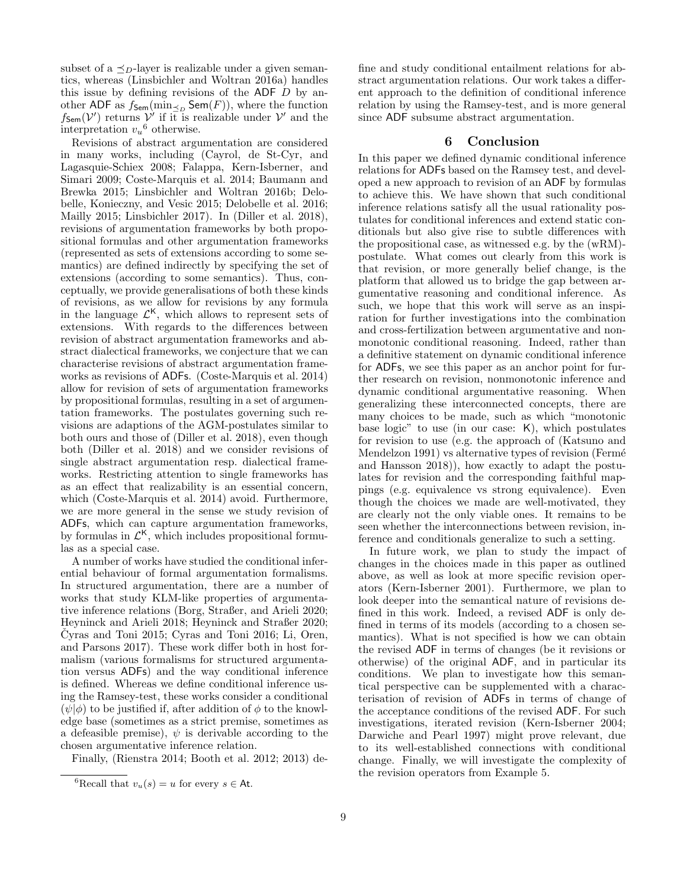subset of a  $\preceq_D$ -layer is realizable under a given semantics, whereas (Linsbichler and Woltran 2016a) handles this issue by defining revisions of the ADF  $D$  by another ADF as  $f_{\text{Sem}}(\min_{\leq p} \text{Sem}(F))$ , where the function  $f_{\mathsf{Sem}}(\mathcal{V}')$  returns  $\mathcal{V}'$  if it is realizable under  $\mathcal{V}'$  and the interpretation  $v_u$ <sup>6</sup> otherwise.

Revisions of abstract argumentation are considered in many works, including (Cayrol, de St-Cyr, and Lagasquie-Schiex 2008; Falappa, Kern-Isberner, and Simari 2009; Coste-Marquis et al. 2014; Baumann and Brewka 2015; Linsbichler and Woltran 2016b; Delobelle, Konieczny, and Vesic 2015; Delobelle et al. 2016; Mailly 2015; Linsbichler 2017). In (Diller et al. 2018), revisions of argumentation frameworks by both propositional formulas and other argumentation frameworks (represented as sets of extensions according to some semantics) are defined indirectly by specifying the set of extensions (according to some semantics). Thus, conceptually, we provide generalisations of both these kinds of revisions, as we allow for revisions by any formula in the language  $\mathcal{L}^{\mathsf{K}}$ , which allows to represent sets of extensions. With regards to the differences between revision of abstract argumentation frameworks and abstract dialectical frameworks, we conjecture that we can characterise revisions of abstract argumentation frameworks as revisions of ADFs. (Coste-Marquis et al. 2014) allow for revision of sets of argumentation frameworks by propositional formulas, resulting in a set of argumentation frameworks. The postulates governing such revisions are adaptions of the AGM-postulates similar to both ours and those of (Diller et al. 2018), even though both (Diller et al. 2018) and we consider revisions of single abstract argumentation resp. dialectical frameworks. Restricting attention to single frameworks has as an effect that realizability is an essential concern, which (Coste-Marquis et al. 2014) avoid. Furthermore, we are more general in the sense we study revision of ADFs, which can capture argumentation frameworks, by formulas in  $\mathcal{L}^{\mathsf{K}}$ , which includes propositional formulas as a special case.

A number of works have studied the conditional inferential behaviour of formal argumentation formalisms. In structured argumentation, there are a number of works that study KLM-like properties of argumentative inference relations (Borg, Straßer, and Arieli 2020; Heyninck and Arieli 2018; Heyninck and Straßer 2020;  $\text{Cyras}$  and Toni 2015; Cyras and Toni 2016; Li, Oren, and Parsons 2017). These work differ both in host formalism (various formalisms for structured argumentation versus ADFs) and the way conditional inference is defined. Whereas we define conditional inference using the Ramsey-test, these works consider a conditional  $(\psi|\phi)$  to be justified if, after addition of  $\phi$  to the knowledge base (sometimes as a strict premise, sometimes as a defeasible premise),  $\psi$  is derivable according to the chosen argumentative inference relation.

Finally, (Rienstra 2014; Booth et al. 2012; 2013) de-

fine and study conditional entailment relations for abstract argumentation relations. Our work takes a different approach to the definition of conditional inference relation by using the Ramsey-test, and is more general since ADF subsume abstract argumentation.

### 6 Conclusion

In this paper we defined dynamic conditional inference relations for ADFs based on the Ramsey test, and developed a new approach to revision of an ADF by formulas to achieve this. We have shown that such conditional inference relations satisfy all the usual rationality postulates for conditional inferences and extend static conditionals but also give rise to subtle differences with the propositional case, as witnessed e.g. by the (wRM) postulate. What comes out clearly from this work is that revision, or more generally belief change, is the platform that allowed us to bridge the gap between argumentative reasoning and conditional inference. As such, we hope that this work will serve as an inspiration for further investigations into the combination and cross-fertilization between argumentative and nonmonotonic conditional reasoning. Indeed, rather than a definitive statement on dynamic conditional inference for ADFs, we see this paper as an anchor point for further research on revision, nonmonotonic inference and dynamic conditional argumentative reasoning. When generalizing these interconnected concepts, there are many choices to be made, such as which "monotonic base logic" to use (in our case: K), which postulates for revision to use (e.g. the approach of (Katsuno and Mendelzon 1991) vs alternative types of revision (Fermé and Hansson 2018)), how exactly to adapt the postulates for revision and the corresponding faithful mappings (e.g. equivalence vs strong equivalence). Even though the choices we made are well-motivated, they are clearly not the only viable ones. It remains to be seen whether the interconnections between revision, inference and conditionals generalize to such a setting.

In future work, we plan to study the impact of changes in the choices made in this paper as outlined above, as well as look at more specific revision operators (Kern-Isberner 2001). Furthermore, we plan to look deeper into the semantical nature of revisions defined in this work. Indeed, a revised ADF is only defined in terms of its models (according to a chosen semantics). What is not specified is how we can obtain the revised ADF in terms of changes (be it revisions or otherwise) of the original ADF, and in particular its conditions. We plan to investigate how this semantical perspective can be supplemented with a characterisation of revision of ADFs in terms of change of the acceptance conditions of the revised ADF. For such investigations, iterated revision (Kern-Isberner 2004; Darwiche and Pearl 1997) might prove relevant, due to its well-established connections with conditional change. Finally, we will investigate the complexity of the revision operators from Example 5.

<sup>&</sup>lt;sup>6</sup>Recall that  $v_u(s) = u$  for every  $s \in$  At.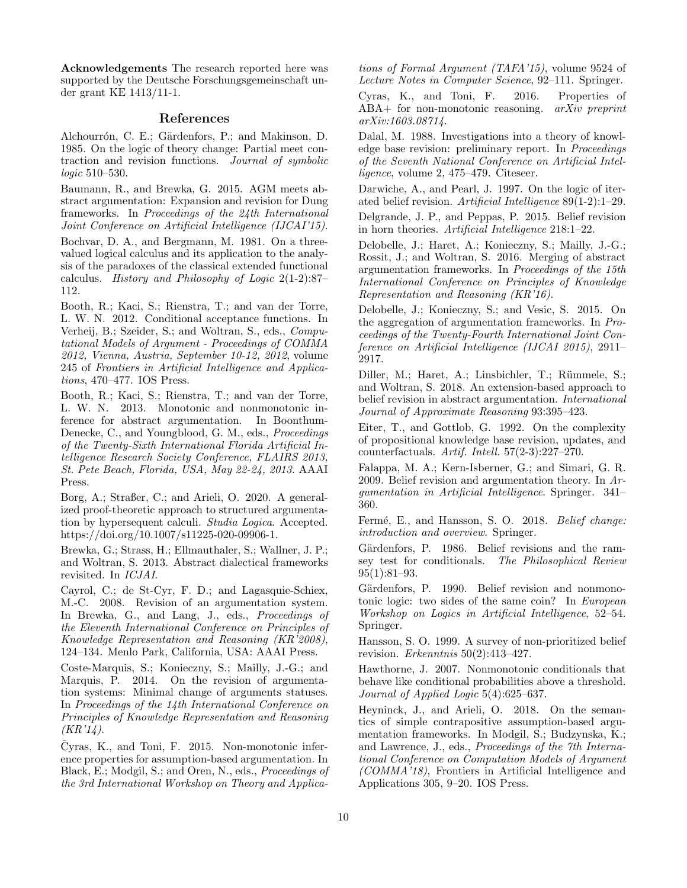Acknowledgements The research reported here was supported by the Deutsche Forschungsgemeinschaft under grant KE 1413/11-1.

### References

Alchourrón, C. E.; Gärdenfors, P.; and Makinson, D. 1985. On the logic of theory change: Partial meet contraction and revision functions. Journal of symbolic logic 510–530.

Baumann, R., and Brewka, G. 2015. AGM meets abstract argumentation: Expansion and revision for Dung frameworks. In Proceedings of the 24th International Joint Conference on Artificial Intelligence (IJCAI'15).

Bochvar, D. A., and Bergmann, M. 1981. On a threevalued logical calculus and its application to the analysis of the paradoxes of the classical extended functional calculus. History and Philosophy of Logic 2(1-2):87– 112.

Booth, R.; Kaci, S.; Rienstra, T.; and van der Torre, L. W. N. 2012. Conditional acceptance functions. In Verheij, B.; Szeider, S.; and Woltran, S., eds., Computational Models of Argument - Proceedings of COMMA 2012, Vienna, Austria, September 10-12, 2012, volume 245 of Frontiers in Artificial Intelligence and Applications, 470–477. IOS Press.

Booth, R.; Kaci, S.; Rienstra, T.; and van der Torre, L. W. N. 2013. Monotonic and nonmonotonic inference for abstract argumentation. In Boonthum-Denecke, C., and Youngblood, G. M., eds., Proceedings of the Twenty-Sixth International Florida Artificial Intelligence Research Society Conference, FLAIRS 2013, St. Pete Beach, Florida, USA, May 22-24, 2013. AAAI Press.

Borg, A.; Straßer, C.; and Arieli, O. 2020. A generalized proof-theoretic approach to structured argumentation by hypersequent calculi. Studia Logica. Accepted. https://doi.org/10.1007/s11225-020-09906-1.

Brewka, G.; Strass, H.; Ellmauthaler, S.; Wallner, J. P.; and Woltran, S. 2013. Abstract dialectical frameworks revisited. In ICJAI.

Cayrol, C.; de St-Cyr, F. D.; and Lagasquie-Schiex, M.-C. 2008. Revision of an argumentation system. In Brewka, G., and Lang, J., eds., Proceedings of the Eleventh International Conference on Principles of Knowledge Representation and Reasoning (KR'2008), 124–134. Menlo Park, California, USA: AAAI Press.

Coste-Marquis, S.; Konieczny, S.; Mailly, J.-G.; and Marquis, P. 2014. On the revision of argumentation systems: Minimal change of arguments statuses. In Proceedings of the 14th International Conference on Principles of Knowledge Representation and Reasoning  $(KR'14).$ 

Čyras, K., and Toni, F.  $2015$ . Non-monotonic inference properties for assumption-based argumentation. In Black, E.; Modgil, S.; and Oren, N., eds., Proceedings of the 3rd International Workshop on Theory and Applica-

tions of Formal Argument (TAFA'15), volume 9524 of Lecture Notes in Computer Science, 92–111. Springer.

Cyras, K., and Toni, F. 2016. Properties of ABA+ for non-monotonic reasoning. *arXiv preprint* arXiv:1603.08714.

Dalal, M. 1988. Investigations into a theory of knowledge base revision: preliminary report. In Proceedings of the Seventh National Conference on Artificial Intelligence, volume 2, 475–479. Citeseer.

Darwiche, A., and Pearl, J. 1997. On the logic of iterated belief revision. Artificial Intelligence 89(1-2):1–29. Delgrande, J. P., and Peppas, P. 2015. Belief revision in horn theories. Artificial Intelligence 218:1–22.

Delobelle, J.; Haret, A.; Konieczny, S.; Mailly, J.-G.; Rossit, J.; and Woltran, S. 2016. Merging of abstract argumentation frameworks. In Proceedings of the 15th International Conference on Principles of Knowledge Representation and Reasoning (KR'16).

Delobelle, J.; Konieczny, S.; and Vesic, S. 2015. On the aggregation of argumentation frameworks. In Proceedings of the Twenty-Fourth International Joint Conference on Artificial Intelligence (IJCAI 2015), 2911– 2917.

Diller, M.; Haret, A.; Linsbichler, T.; Rümmele, S.; and Woltran, S. 2018. An extension-based approach to belief revision in abstract argumentation. International Journal of Approximate Reasoning 93:395–423.

Eiter, T., and Gottlob, G. 1992. On the complexity of propositional knowledge base revision, updates, and counterfactuals. Artif. Intell. 57(2-3):227–270.

Falappa, M. A.; Kern-Isberner, G.; and Simari, G. R. 2009. Belief revision and argumentation theory. In Argumentation in Artificial Intelligence. Springer. 341– 360.

Fermé, E., and Hansson, S. O. 2018. *Belief change:* introduction and overview. Springer.

Gärdenfors, P. 1986. Belief revisions and the ramsey test for conditionals. The Philosophical Review 95(1):81–93.

Gärdenfors, P. 1990. Belief revision and nonmonotonic logic: two sides of the same coin? In European Workshop on Logics in Artificial Intelligence, 52–54. Springer.

Hansson, S. O. 1999. A survey of non-prioritized belief revision. Erkenntnis  $50(2):413-427$ .

Hawthorne, J. 2007. Nonmonotonic conditionals that behave like conditional probabilities above a threshold. Journal of Applied Logic 5(4):625–637.

Heyninck, J., and Arieli, O. 2018. On the semantics of simple contrapositive assumption-based argumentation frameworks. In Modgil, S.; Budzynska, K.; and Lawrence, J., eds., Proceedings of the 7th International Conference on Computation Models of Argument (COMMA'18), Frontiers in Artificial Intelligence and Applications 305, 9–20. IOS Press.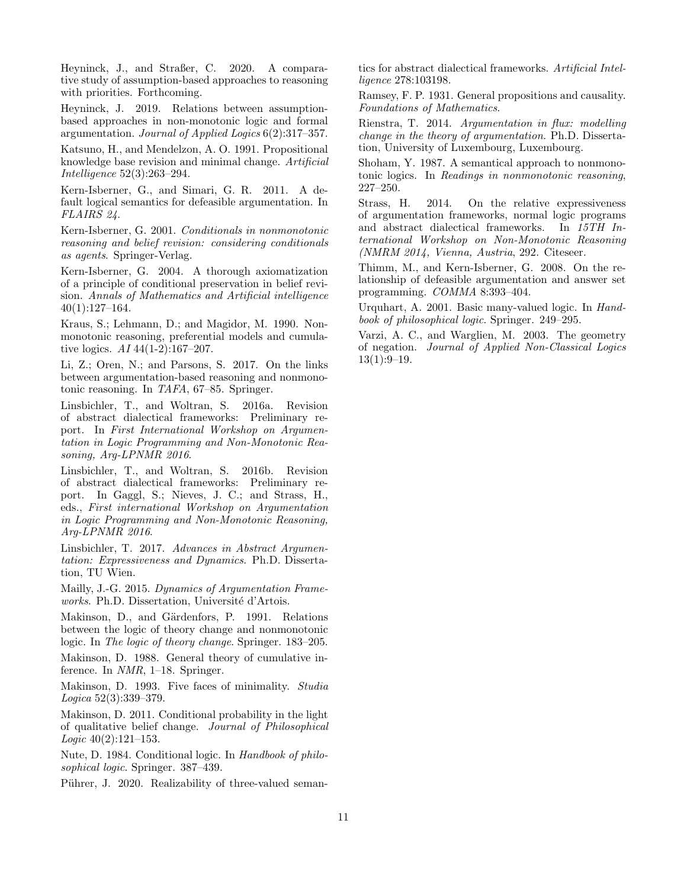Heyninck, J., and Straßer, C. 2020. A comparative study of assumption-based approaches to reasoning with priorities. Forthcoming.

Heyninck, J. 2019. Relations between assumptionbased approaches in non-monotonic logic and formal argumentation. Journal of Applied Logics 6(2):317–357.

Katsuno, H., and Mendelzon, A. O. 1991. Propositional knowledge base revision and minimal change. Artificial Intelligence 52(3):263–294.

Kern-Isberner, G., and Simari, G. R. 2011. A default logical semantics for defeasible argumentation. In FLAIRS 24.

Kern-Isberner, G. 2001. Conditionals in nonmonotonic reasoning and belief revision: considering conditionals as agents. Springer-Verlag.

Kern-Isberner, G. 2004. A thorough axiomatization of a principle of conditional preservation in belief revision. Annals of Mathematics and Artificial intelligence 40(1):127–164.

Kraus, S.; Lehmann, D.; and Magidor, M. 1990. Nonmonotonic reasoning, preferential models and cumulative logics. AI 44(1-2):167–207.

Li, Z.; Oren, N.; and Parsons, S. 2017. On the links between argumentation-based reasoning and nonmonotonic reasoning. In TAFA, 67–85. Springer.

Linsbichler, T., and Woltran, S. 2016a. Revision of abstract dialectical frameworks: Preliminary report. In First International Workshop on Argumentation in Logic Programming and Non-Monotonic Reasoning, Arg-LPNMR 2016.

Linsbichler, T., and Woltran, S. 2016b. Revision of abstract dialectical frameworks: Preliminary report. In Gaggl, S.; Nieves, J. C.; and Strass, H., eds., First international Workshop on Argumentation in Logic Programming and Non-Monotonic Reasoning, Arg-LPNMR 2016.

Linsbichler, T. 2017. Advances in Abstract Argumentation: Expressiveness and Dynamics. Ph.D. Dissertation, TU Wien.

Mailly, J.-G. 2015. Dynamics of Argumentation Frameworks. Ph.D. Dissertation, Université d'Artois.

Makinson, D., and Gärdenfors, P. 1991. Relations between the logic of theory change and nonmonotonic logic. In The logic of theory change. Springer. 183–205.

Makinson, D. 1988. General theory of cumulative inference. In NMR, 1–18. Springer.

Makinson, D. 1993. Five faces of minimality. *Studia* Logica 52(3):339–379.

Makinson, D. 2011. Conditional probability in the light of qualitative belief change. Journal of Philosophical *Logic*  $40(2):121-153$ .

Nute, D. 1984. Conditional logic. In Handbook of philosophical logic. Springer. 387–439.

Pührer, J. 2020. Realizability of three-valued seman-

tics for abstract dialectical frameworks. Artificial Intelligence 278:103198.

Ramsey, F. P. 1931. General propositions and causality. Foundations of Mathematics.

Rienstra, T. 2014. Argumentation in flux: modelling change in the theory of argumentation. Ph.D. Dissertation, University of Luxembourg, Luxembourg.

Shoham, Y. 1987. A semantical approach to nonmonotonic logics. In Readings in nonmonotonic reasoning, 227–250.

Strass, H. 2014. On the relative expressiveness of argumentation frameworks, normal logic programs and abstract dialectical frameworks. In 15TH International Workshop on Non-Monotonic Reasoning (NMRM 2014, Vienna, Austria, 292. Citeseer.

Thimm, M., and Kern-Isberner, G. 2008. On the relationship of defeasible argumentation and answer set programming. COMMA 8:393–404.

Urquhart, A. 2001. Basic many-valued logic. In Handbook of philosophical logic. Springer. 249–295.

Varzi, A. C., and Warglien, M. 2003. The geometry of negation. Journal of Applied Non-Classical Logics  $13(1):9-19.$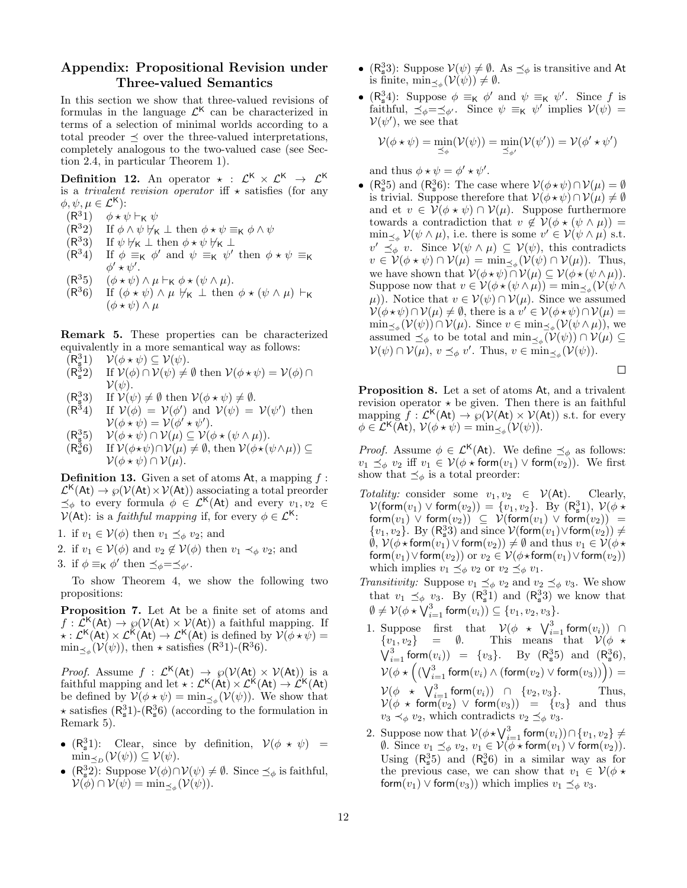# Appendix: Propositional Revision under Three-valued Semantics

In this section we show that three-valued revisions of formulas in the language  $\mathcal{L}^{\mathsf{K}}$  can be characterized in terms of a selection of minimal worlds according to a total preoder  $\prec$  over the three-valued interpretations, completely analogous to the two-valued case (see Section 2.4, in particular Theorem 1).

**Definition 12.** An operator  $\star$  :  $\mathcal{L}^{\mathsf{K}} \times \mathcal{L}^{\mathsf{K}} \rightarrow \mathcal{L}^{\mathsf{K}}$ is a *trivalent revision operator* if  $\star$  satisfies (for any  $\phi, \psi, \mu \in \mathcal{L}^{\mathsf{K}}$ :

 $(R^{3}1)$  $\phi \star \psi \vdash_{\mathsf{K}} \psi$ 

- $(R^{3}2)$ If  $\phi \wedge \psi \not\models K \bot$  then  $\phi \star \psi \equiv_K \phi \wedge \psi$
- $(R^{3}3)$ If  $\psi \not\models_K \bot$  then  $\phi \star \psi \not\models_K \bot$
- $(R^{3}4)$ <sup>3</sup>4) If  $\phi \equiv_K \phi'$  and  $\psi \equiv_K \psi'$  then  $\phi \star \psi \equiv_K$  $\phi' \star \psi'.$
- $(R^{3}5)$  $(\phi \star \psi) \wedge \mu \vdash_{\mathsf{K}} \phi \star (\psi \wedge \mu).$
- $(R^{3}6)$ If  $(\phi \star \psi) \wedge \mu \nvDash_{\mathsf{K}} \bot$  then  $\phi \star (\psi \wedge \mu) \vdash_{\mathsf{K}}$  $(\phi \star \psi) \wedge \mu$

Remark 5. These properties can be characterized equivalently in a more semantical way as follows:

 $(R_s^3)$  $\mathcal{V}(\phi * \psi) \subseteq \mathcal{V}(\psi)$ .

- $(R_s^3)$ If  $\mathcal{V}(\phi) \cap \mathcal{V}(\psi) \neq \emptyset$  then  $\mathcal{V}(\phi \star \psi) = \mathcal{V}(\phi) \cap$  $\mathcal{V}(\psi)$ .
- $(R_s^3)$ If  $\mathcal{V}(\psi) \neq \emptyset$  then  $\mathcal{V}(\phi * \psi) \neq \emptyset$ .
- $(R^{3}4)$ <sup>3</sup>4) If  $V(\phi) = V(\phi')$  and  $V(\psi) = V(\psi')$  then  $\mathcal{V}(\phi \star \psi) = \mathcal{V}(\phi' \star \psi').$
- $(R_s^3)$  $\mathcal{V}(\phi \star \psi) \cap \mathcal{V}(\mu) \subseteq \mathcal{V}(\phi \star (\psi \wedge \mu)).$
- $(R_s^3)$ If  $\mathcal{V}(\phi \star \psi) \cap \mathcal{V}(\mu) \neq \emptyset$ , then  $\mathcal{V}(\phi \star (\psi \wedge \mu)) \subseteq$  $\mathcal{V}(\phi * \psi) \cap \mathcal{V}(\mu)$ .

**Definition 13.** Given a set of atoms At, a mapping  $f$ :  $\mathcal{L}^{\mathsf{K}}(\mathsf{At}) \to \wp(\mathcal{V}(\mathsf{At}) \times \mathcal{V}(\mathsf{At}))$  associating a total preorder  $\preceq_{\phi}$  to every formula  $\phi \in \mathcal{L}^{\mathsf{K}}(\mathsf{At})$  and every  $v_1, v_2 \in$  $V(\mathsf{At})$ : is a *faithful mapping* if, for every  $\phi \in \mathcal{L}^{\mathsf{K}}$ :

- 1. if  $v_1 \in V(\phi)$  then  $v_1 \preceq_{\phi} v_2$ ; and
- 2. if  $v_1 \in V(\phi)$  and  $v_2 \notin V(\phi)$  then  $v_1 \prec_{\phi} v_2$ ; and
- 3. if  $\phi \equiv_{\mathsf{K}} \phi'$  then  $\preceq_{\phi} = \preceq_{\phi'}$ .

To show Theorem 4, we show the following two propositions:

Proposition 7. Let At be a finite set of atoms and  $f: \mathcal{L}^{\mathsf{K}}(\mathsf{At}) \to \wp(\mathcal{V}(\mathsf{At}) \times \mathcal{V}(\mathsf{At}))$  a faithful mapping. If  $\star : \mathcal{L}^{\mathsf{K}}(\mathsf{At}) \times \mathcal{L}^{\mathsf{K}}(\mathsf{At}) \to \mathcal{L}^{\mathsf{K}}(\mathsf{At})$  is defined by  $\mathcal{V}(\phi \star \psi) =$  $\min_{\leq \phi} (\mathcal{V}(\psi))$ , then  $\star$  satisfies  $(R^31)$ - $(R^36)$ .

*Proof.* Assume  $f : \mathcal{L}^{\mathsf{K}}(\mathsf{At}) \to \wp(\mathcal{V}(\mathsf{At}) \times \mathcal{V}(\mathsf{At}))$  is a faithful mapping and let  $\star : \mathcal{L}^{\mathsf{K}}(\mathsf{At}) \times \mathcal{L}^{\mathsf{K}}(\mathsf{At}) \to \mathcal{L}^{\mathsf{K}}(\mathsf{At})$ be defined by  $\mathcal{V}(\phi \star \psi) = \min_{\preceq_{\phi}} (\mathcal{V}(\psi)).$  We show that  $\star$  satisfies  $(R_s^31)$ - $(R_s^36)$  (according to the formulation in Remark 5).

- $(R_s^3 1)$ : Clear, since by definition,  $V(\phi \star \psi)$  =  $\min_{\leq D} (\mathcal{V}(\psi)) \subseteq \mathcal{V}(\psi).$
- $(R_s^3 2)$ : Suppose  $\mathcal{V}(\phi) \cap \mathcal{V}(\psi) \neq \emptyset$ . Since  $\preceq_{\phi}$  is faithful,  $\mathcal{V}(\phi) \cap \mathcal{V}(\psi) = \min_{\preceq_{\phi}} (\mathcal{V}(\psi)).$
- $(R_s^3)$ : Suppose  $\mathcal{V}(\psi) \neq \emptyset$ . As  $\preceq_{\phi}$  is transitive and At is finite,  $\min_{\leq_{\phi}} (\mathcal{V}(\psi)) \neq \emptyset$ .
- $(R_s^3 4)$ : Suppose  $\phi \equiv_K \phi'$  and  $\psi \equiv_K \psi'$ . Since f is faithful,  $\preceq_{\phi} = \preceq_{\phi'}$ . Since  $\psi \equiv_{\mathsf{K}} \psi'$  implies  $\mathcal{V}(\psi) =$  $\mathcal{V}(\psi')$ , we see that

$$
\mathcal{V}(\phi \star \psi) = \min_{\preceq_{\phi}} (\mathcal{V}(\psi)) = \min_{\preceq_{\phi'}} (\mathcal{V}(\psi')) = \mathcal{V}(\phi' \star \psi')
$$

and thus  $\phi \star \psi = \phi' \star \psi'$ .

•  $(R_s^3 5)$  and  $(R_s^3 6)$ : The case where  $\mathcal{V}(\phi \star \psi) \cap \mathcal{V}(\mu) = \emptyset$ is trivial. Suppose therefore that  $V(\phi \star \psi) \cap V(\mu) \neq \emptyset$ and et  $v \in V(\phi \star \psi) \cap V(\mu)$ . Suppose furthermore towards a contradiction that  $v \notin V(\phi \star (\psi \wedge \mu))$  =  $\min_{\preceq_{\phi}} \mathcal{V}(\psi \wedge \mu)$ , i.e. there is some  $v' \in \mathcal{V}(\psi \wedge \mu)$  s.t.  $v' \preceq_{\phi} v$ . Since  $\mathcal{V}(\psi \wedge \mu) \subseteq \mathcal{V}(\psi)$ , this contradicts  $v \in \mathcal{V}(\phi \star \psi) \cap \mathcal{V}(\mu) = \min_{\preceq_{\phi}} (\mathcal{V}(\psi) \cap \mathcal{V}(\mu)).$  Thus, we have shown that  $\mathcal{V}(\phi \star \psi) \cap \mathcal{V}(\mu) \subseteq \mathcal{V}(\phi \star (\psi \wedge \mu)).$ Suppose now that  $v \in \mathcal{V}(\phi \star (\psi \wedge \mu)) = \min_{\preceq_{\phi}} (\mathcal{V}(\psi \wedge$  $(\mu)$ ). Notice that  $v \in V(\psi) \cap V(\mu)$ . Since we assumed  $\mathcal{V}(\phi \star \psi) \cap \mathcal{V}(\mu) \neq \emptyset$ , there is a  $v' \in \mathcal{V}(\phi \star \psi) \cap \mathcal{V}(\mu) =$  $\min_{\preceq_{\phi}}(\mathcal{V}(\psi)) \cap \mathcal{V}(\mu)$ . Since  $v \in \min_{\preceq_{\phi}}(\mathcal{V}(\psi \wedge \mu))$ , we assumed  $\preceq_{\phi}$  to be total and  $\min_{\preceq_{\phi}} (\mathcal{V}(\psi)) \cap \mathcal{V}(\mu) \subseteq$  $\mathcal{V}(\psi) \cap \mathcal{V}(\mu)$ ,  $v \preceq_{\phi} v'$ . Thus,  $v \in \min_{\preceq_{\phi}} (\mathcal{V}(\psi))$ .



Proposition 8. Let a set of atoms At, and a trivalent revision operator  $\star$  be given. Then there is an faithful mapping  $\overline{f}: \mathcal{L}^{\mathsf{K}}(\mathsf{At}) \to \rho(\mathcal{V}(\mathsf{At}) \times \mathcal{V}(\mathsf{At}))$  s.t. for every  $\phi \in \mathcal{L}^{\mathsf{K}}(\mathsf{At}), \, \mathcal{V}(\phi \star \psi) = \min_{\preceq_{\phi}} (\mathcal{V}(\psi)).$ 

*Proof.* Assume  $\phi \in \mathcal{L}^{\mathsf{K}}(\mathsf{At})$ . We define  $\preceq_{\phi}$  as follows:  $v_1 \preceq_{\phi} v_2$  iff  $v_1 \in V(\phi \star \text{form}(v_1) \vee \text{form}(v_2)).$  We first show that  $\preceq_{\phi}$  is a total preorder:

- Totality: consider some  $v_1, v_2 \in \mathcal{V}(\mathsf{At})$ . Clearly,  $\mathcal{V}(\mathsf{form}(v_1) \vee \mathsf{form}(v_2)) = \{v_1, v_2\}$ . By  $(R_s^3 1)$ ,  $\mathcal{V}(\phi \star$ form $(v_1)$   $\vee$  form $(v_2)$  $\vee$   $\leq$   $\vee$  (form $(v_1)$   $\vee$  form $(v_2)$ ) =  $\{v_1, v_2\}$ . By  $(R_s^33)$  and since  $\mathcal{V}(\mathsf{form}(v_1) \lor \mathsf{form}(v_2)) \neq \emptyset$  $\emptyset$ ,  $\mathcal{V}(\phi \star \text{form}(v_1) \vee \text{form}(v_2)) \neq \emptyset$  and thus  $v_1 \in \mathcal{V}(\phi \star$ form $(v_1)$ ∨form $(v_2)$ ) or  $v_2 \in V(\phi\star \text{form}(v_1) \vee \text{form}(v_2))$ which implies  $v_1 \preceq_{\phi} v_2$  or  $v_2 \preceq_{\phi} v_1$ .
- *Transitivity:* Suppose  $v_1 \preceq_{\phi} v_2$  and  $v_2 \preceq_{\phi} v_3$ . We show that  $v_1 \preceq_{\phi} v_3$ . By  $(R_s^3 1)$  and  $(R_s^3 3)$  we know that  $\emptyset \neq \mathcal{V}(\phi \star \bigvee_{i=1}^{3} \mathsf{form}(v_i)) \subseteq \{v_1, v_2, v_3\}.$
- 1. Suppose first that  $\mathcal{V}(\phi \star \bigvee_{i=1}^{3} \mathsf{form}(v_i))$  ∩  $\{v_1, v_2\}$  = Ø. This means that  $\mathcal{V}(\phi \star$  $\bigvee_{i=1}^{3}$  form $(v_i)$  = { $v_3$ }. By ( $R_s^3$ 5) and ( $R_s^3$ 6),  $\mathcal{V}(\phi\star \left(\left(\bigvee_{i=1}^{3}\mathsf{form}(v_i)\wedge(\mathsf{form}(v_2)\vee\mathsf{form}(v_3)\right)\right))=$  $\mathcal{V}(\phi \star \bigvee_{i=1}^{3} \mathsf{form}(v_i)) \cap \{v_2, v_3\}.$  Thus,  $\mathcal{V}(\phi \, \star \, \mathsf{form}(v_2) \, \vee \, \mathsf{form}(v_3)) \;\; = \;\; \{v_3\} \;\; \text{and \; thus}$  $v_3 \prec_{\phi} v_2$ , which contradicts  $v_2 \preceq_{\phi} v_3$ .
- 2. Suppose now that  $\mathcal{V}(\phi \star \bigvee_{i=1}^{3} \mathsf{form}(v_i)) \cap \{v_1, v_2\} \neq$  $\emptyset$ . Since  $v_1 \preceq_{\phi} v_2, v_1 \in \mathcal{V}(\phi \star \mathsf{form}(v_1) \vee \mathsf{form}(v_2)).$ Using  $(R_s^3 5)$  and  $(R_s^3 6)$  in a similar way as for the previous case, we can show that  $v_1 \in V(\phi \star$ form $(v_1)$   $\vee$  form $(v_3)$ ) which implies  $v_1 \preceq_{\phi} v_3$ .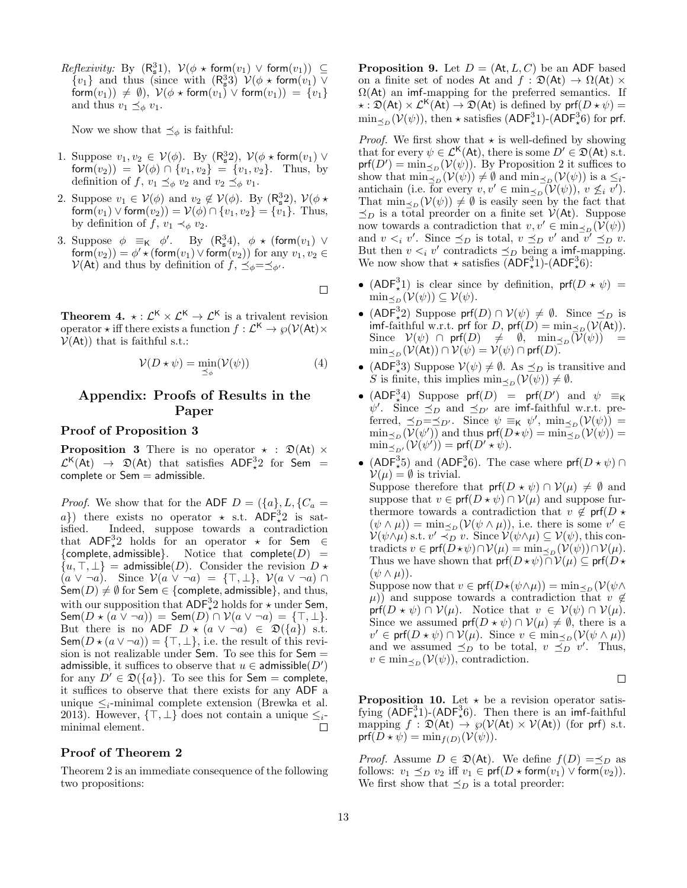$Reflexivity:$  By  $(R_s^31), \; V(\phi \star form(v_1) \vee form(v_1)) \subseteq$  $\{v_1\}$  and thus (since with  $(R_s^33)$   $\mathcal{V}(\phi \star \text{form}(v_1) \vee \phi)$ form $(v_1)$   $\neq \emptyset$ ,  $V(\phi \star \text{form}(v_1) \vee \text{form}(v_1)) = \{v_1\}$ and thus  $v_1 \preceq_{\phi} v_1$ .

Now we show that  $\preceq_{\phi}$  is faithful:

- 1. Suppose  $v_1, v_2 \in V(\phi)$ . By  $(R_s^3 2)$ ,  $V(\phi \star \text{form}(v_1) \vee$ form $(v_2)$  =  $V(\phi) \cap \{v_1, v_2\} = \{v_1, v_2\}$ . Thus, by definition of f,  $v_1 \preceq_{\phi} v_2$  and  $v_2 \preceq_{\phi} v_1$ .
- 2. Suppose  $v_1 \in V(\phi)$  and  $v_2 \notin V(\phi)$ . By  $(R_s^3 2)$ ,  $V(\phi \star$ form $(v_1) \vee$  form $(v_2)$  $= \mathcal{V}(\phi) \cap \{v_1, v_2\} = \{v_1\}$ . Thus, by definition of f,  $v_1 \prec_{\phi} v_2$ .
- 3. Suppose  $\phi \equiv_K \phi'$ . By  $(R_s^3 4)$ ,  $\phi \star (form(v_1) \vee$  $\mathsf{form}(v_2)) = \phi' \star (\mathsf{form}(v_1) \vee \mathsf{form}(v_2)) \text{ for any } v_1, v_2 \in$  $\mathcal{V}(\mathsf{At})$  and thus by definition of  $f, \preceq_{\phi} = \preceq_{\phi}.$

 $\Box$ 

**Theorem 4.**  $\star : \mathcal{L}^{\mathsf{K}} \times \mathcal{L}^{\mathsf{K}} \to \mathcal{L}^{\mathsf{K}}$  is a trivalent revision operator  $\star$  iff there exists a function  $f: \mathcal{L}^{\mathsf{K}} \to \wp(\mathcal{V}(\mathsf{At}) \times$  $V(\mathsf{At})$  that is faithful s.t.:

$$
\mathcal{V}(D \star \psi) = \min_{\preceq_{\phi}} (\mathcal{V}(\psi)) \tag{4}
$$

# Appendix: Proofs of Results in the Paper

### Proof of Proposition 3

**Proposition 3** There is no operator  $\star$  :  $\mathfrak{D}(\mathsf{At}) \times$  $\mathcal{L}^{\mathsf{K}}(\mathsf{At}) \rightarrow \mathfrak{D}(\mathsf{At})$  that satisfies  $\mathsf{ADF}^3_{*}2$  for Sem = complete or  $Sem =$  admissible.

*Proof.* We show that for the ADF  $D = (\{a\}, L, \{C_a =$ a}) there exists no operator  $\star$  s.t. ADF<sup>3</sup><sub> $\star$ </sub> 2 is satisfied. Indeed, suppose towards a contradiction that  $ADF^3_{\star}2$  holds for an operator  $\star$  for Sem  $\in$ {complete, admissible}. Notice that complete( $D$ ) =  $\{u, \top, \bot\}$  = admissible(*D*). Consider the revision  $D \star$  $(a \vee \neg a)$ . Since  $\mathcal{V}(a \vee \neg a) = \{\top, \bot\}, \mathcal{V}(a \vee \neg a) \cap \bot$  $\mathsf{Sem}(D) \neq \emptyset$  for Sem  $\in \{\mathsf{complete}, \mathsf{admissible}\},$  and thus, with our supposition that  $\mathsf{ADF}^3_\star 2$  holds for  $\star$  under Sem,  $\mathsf{Sem}(D \star (a \vee \neg a)) = \mathsf{Sem}(D) \cap \mathcal{V}(a \vee \neg a) = \{\top, \bot\}.$ But there is no ADF  $D \star (a \vee \neg a) \in \mathfrak{D}(\{a\})$  s.t.  $\mathsf{Sem}(D \star (a \vee \neg a)) = {\top, \bot}$ , i.e. the result of this revision is not realizable under **Sem**. To see this for  $Sem =$ admissible, it suffices to observe that  $u \in$  admissible $(D')$ for any  $D' \in \mathfrak{D}(\{a\})$ . To see this for Sem = complete, it suffices to observe that there exists for any ADF a unique  $\leq_i$ -minimal complete extension (Brewka et al. 2013). However,  $\{\top, \bot\}$  does not contain a unique  $\leq_i$ -<br>minimal element. minimal element.

### Proof of Theorem 2

Theorem 2 is an immediate consequence of the following two propositions:

**Proposition 9.** Let  $D = (\mathsf{At}, L, C)$  be an ADF based on a finite set of nodes At and  $f : \mathfrak{D}(\mathsf{At}) \to \Omega(\mathsf{At}) \times$  $\Omega$ (At) an imf-mapping for the preferred semantics. If  $\star : \mathfrak{D}(\mathsf{At}) \times \mathcal{L}^{\mathsf{K}}(\mathsf{At}) \to \mathfrak{D}(\mathsf{At})$  is defined by  $\mathsf{prf}(D \star \psi) =$  $\min_{\leq D} (\mathcal{V}(\psi))$ , then  $\star$  satisfies (ADF<sup>3</sup><sub>\*</sub>1)-(ADF<sup>3</sup><sub>\*</sub>6) for prf.

*Proof.* We first show that  $\star$  is well-defined by showing that for every  $\psi \in \mathcal{L}^{\mathsf{K}}(\mathsf{At})$ , there is some  $D' \in \mathfrak{D}(\mathsf{At})$  s.t.  $\text{prf}(D') = \min_{\leq D} (\mathcal{V}(\psi)).$  By Proposition 2 it suffices to show that  $\min_{\leq D} (\mathcal{V}(\psi)) \neq \emptyset$  and  $\min_{\leq D} (\mathcal{V}(\psi))$  is a  $\leq_i$ antichain (i.e. for every  $v, v' \in \min_{\preceq_D} (\mathcal{V}(\psi)), v \not\leq_i v'$ ). That  $\min_{\leq D} (\mathcal{V}(\psi)) \neq \emptyset$  is easily seen by the fact that  $\preceq_D$  is a total preorder on a finite set  $V(\mathsf{At})$ . Suppose now towards a contradiction that  $v, v' \in \min_{\leq p} (\mathcal{V}(\psi))$ and  $v \lt_i v'$ . Since  $\preceq_D$  is total,  $v \preceq_D v'$  and  $v' \preceq_D v$ . But then  $v \lt_i v'$  contradicts  $\preceq_D$  being a imf-mapping. We now show that  $\star$  satisfies  $\overline{(ADF_{\star}^31)}$ - $(ADF_{\star}^36)$ :

- (ADF<sup>3</sup><sub>\*</sub>1) is clear since by definition,  $\text{prf}(D \star \psi)$  =  $\min_{\leq D} (\mathcal{V}(\psi)) \subseteq \mathcal{V}(\psi).$
- (ADF<sup>3</sup><sub>\*</sub>2) Suppose prf(D)  $\cap$   $V(\psi) \neq \emptyset$ . Since  $\preceq_D$  is imf-faithful w.r.t. prf for D,  $\text{prf}(D) = \min_{\preceq_D} (\mathcal{V}(At)).$ Since  $V(\psi) \cap prf(D) \neq \emptyset$ ,  $\min_{\preceq_D} (\widetilde{V}(\psi)) =$  $\min_{\preceq_D} (\mathcal{V}(\mathsf{At})) \cap \mathcal{V}(\psi) = \mathcal{V}(\psi) \cap \mathsf{prf}(D).$
- (ADF<sup>3</sup><sub>\*</sub>3) Suppose  $V(\psi) \neq \emptyset$ . As  $\preceq_D$  is transitive and S is finite, this implies  $\min_{\mathcal{B}} (\mathcal{V}(\psi)) \neq \emptyset$ .
- (ADF<sup>3</sup><sub>\*</sub>4) Suppose  $\textsf{prf}(D) = \textsf{prf}(D')$  and  $\psi \equiv_K$  $\psi'$ . Since  $\preceq_D$  and  $\preceq_{D'}$  are imf-faithful w.r.t. preferred,  $\preceq_D = \preceq_{D'}$ . Since  $\psi \equiv_K \psi'$ ,  $\min_{\preceq_D} (\mathcal{V}(\psi)) =$  $\min_{\leq D} (\mathcal{V}(\psi'))$  and thus  $\text{prf}(D \star \psi) = \min_{\leq D} (\mathcal{V}(\psi')) =$  $\min_{\preceq_{D'}}^{\preceq} (\mathcal{V}(\psi')) = \mathsf{prf}(D' \star \psi).$
- (ADF<sup>3</sup><sub>\*</sub>5) and (ADF<sup>3</sup><sub>\*</sub>6). The case where  $\text{prf}(D \star \psi)$  ∩  $\mathcal{V}(\mu) = \emptyset$  is trivial. Suppose therefore that  $\text{prf}(D \star \psi) \cap \mathcal{V}(\mu) \neq \emptyset$  and suppose that  $v \in \text{prf}(D \star \psi) \cap V(\mu)$  and suppose furthermore towards a contradiction that  $v \notin \text{prf}(D \star$  $(\psi \wedge \mu)$  = min<sub> $\leq_{D}$ </sub> $(\mathcal{V}(\psi \wedge \mu))$ , i.e. there is some  $v' \in$  $\mathcal{V}(\psi \wedge \mu)$  s.t.  $v' \prec_{D}^{\sim} v$ . Since  $\mathcal{V}(\psi \wedge \mu) \subseteq \mathcal{V}(\psi)$ , this contradicts  $v \in \text{prf}(D \star \psi) \cap \mathcal{V}(\mu) = \min_{\preceq_D} (\mathcal{V}(\psi)) \cap \mathcal{V}(\mu).$ Thus we have shown that  $\text{prf}(D \star \psi) \cap \mathcal{V}(\mu) \subseteq \text{prf}(D \star$  $(\psi \wedge \mu)).$

Suppose now that  $v \in \text{prf}(D\star(\psi \wedge \mu)) = \min_{\preceq_D} (\mathcal{V}(\psi \wedge$  $(\mu)$ ) and suppose towards a contradiction that  $v \notin$  $\text{prf}(D \star \psi) \cap \mathcal{V}(\mu)$ . Notice that  $v \in \mathcal{V}(\psi) \cap \mathcal{V}(\mu)$ . Since we assumed  $\text{prf}(D \star \psi) \cap \mathcal{V}(\mu) \neq \emptyset$ , there is a  $v' \in \text{prf}(D \star \psi) \cap V(\mu)$ . Since  $v \in \min_{\preceq_D} (V(\psi \wedge \mu))$ and we assumed  $\preceq_D^{\sim}$  to be total,  $v \preceq_D^{\sim} v'$ . Thus,  $v \in \min_{\leq D} (\mathcal{V}(\psi))$ , contradiction.

 $\Box$ 

**Proposition 10.** Let  $\star$  be a revision operator satisfying  $(ADF^3_*1)$ - $(ADF^3_*6)$ . Then there is an imf-faithful mapping  $f : \mathfrak{D}(\mathsf{At}) \to \wp(\mathcal{V}(\mathsf{At}) \times \mathcal{V}(\mathsf{At}))$  (for prf) s.t.  $\text{prf}(D \star \psi) = \min_{f(D)}(\mathcal{V}(\psi)).$ 

*Proof.* Assume  $D \in \mathfrak{D}(\mathsf{At})$ . We define  $f(D) = \preceq_D$  as follows:  $v_1 \preceq_D v_2$  iff  $v_1 \in \text{prf}(D \star \text{form}(v_1) \vee \text{form}(v_2)).$ We first show that  $\preceq_D$  is a total preorder: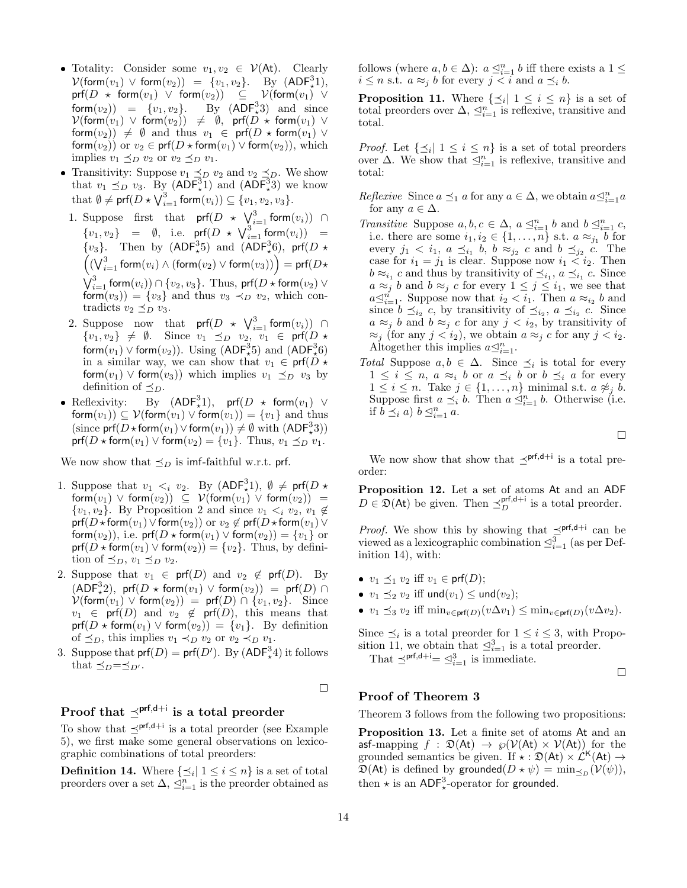- Totality: Consider some  $v_1, v_2 \in \mathcal{V}(At)$ . Clearly  $\mathcal{V}(\mathsf{form}(v_1) \vee \mathsf{form}(v_2)) = \{v_1, v_2\}.$  By  $(\mathsf{ADF}^3_\star 1),$  $\mathsf{prf}(D \ \star \ \mathsf{form}(v_1) \ \lor \ \mathsf{form}(v_2)) \quad \subseteq \quad \mathcal{V}(\mathsf{form}(v_1) \ \lor \ \mathsf{form}(v_2))$ form $(v_2)$ ) =  $\{v_1, v_2\}$ . By  $(ADF<sub>+3</sub><sup>3</sup>)$  and since  $\mathcal{V}(\mathsf{form}(v_1) \vee \mathsf{form}(v_2)) \neq \emptyset$ , prf $(D \star \mathsf{form}(v_1) \vee$ form $(v_2)$ )  $\neq \emptyset$  and thus  $v_1 \in \text{prf}(D \star \text{form}(v_1) \vee$ form $(v_2)$  or  $v_2 \in \text{prf}(D \star \text{form}(v_1) \vee \text{form}(v_2)),$  which implies  $v_1 \preceq_D v_2$  or  $v_2 \preceq_D v_1$ .
- Transitivity: Suppose  $v_1 \preceq_D v_2$  and  $v_2 \preceq_D$ . We show that  $v_1 \preceq_D v_3$ . By  $(ADF^3_*)$  and  $(ADF^3_*)$  we know that  $\emptyset \neq \mathsf{prf}(D \star \bigvee_{i=1}^{3} \mathsf{form}(v_i)) \subseteq \{v_1, v_2, v_3\}.$
- 1. Suppose first that  $\mathsf{prf}(D \star \bigvee_{i=1}^{3} \mathsf{form}(v_i))$   $\cap$  $\{v_1, v_2\}$  =  $\emptyset$ , i.e. prf $(D \star \bigvee_{i=1}^{3} \text{form}(v_i))$  =  $\{v_3\}$ . Then by  $(ADF^3_{\star}5)$  and  $(ADF^3_{\star}6)$ , prf $(D \star$  $\left(\left(\bigvee_{i=1}^3 \mathsf{form}(v_i) \land (\mathsf{form}(v_2) \lor \mathsf{form}(v_3)\right)\right) = \mathsf{prf}(D \star$  $\bigvee_{i=1}^{3}$  form $(v_i))\cap \{v_2,v_3\}.$  Thus, prf $(D\star \mathsf{form}(v_2) \vee$ form $(v_3)$  =  $\{v_3\}$  and thus  $v_3 \prec_D v_2$ , which contradicts  $v_2 \preceq_D v_3$ .
- 2. Suppose now that  $\mathsf{prf}(D \star \bigvee_{i=1}^{3} \mathsf{form}(v_i))$  ∩  $\{v_1, v_2\} \neq \emptyset$ . Since  $v_1 \preceq_D v_2$ ,  $v_1 \in \text{prf}(D \star$ form $(v_1) \vee$  form $(v_2)$ ). Using  $(\mathsf{ADF}_*^35)$  and  $(\mathsf{ADF}_*^36)$ in a similar way, we can show that  $v_1 \in \text{prf}(D \star$ form $(v_1)$   $\vee$  form $(v_3)$ ) which implies  $v_1 \preceq_D v_3$  by definition of  $\preceq_D$ .
- Reflexivity: By  $(ADF_x^3)$ By  $(ADF<sub>+1</sub><sup>3</sup>)$ , prf $(D \star form(v<sub>1</sub>) \vee$ form $(v_1)$ )  $\subseteq$   $V$ (form $(v_1)$ )  $\vee$  form $(v_1)$ )  $=$   $\{v_1\}$  and thus (since  $\mathsf{prf}(D \star \mathsf{form}(v_1) \vee \mathsf{form}(v_1)) \neq \emptyset$  with  $(\mathsf{ADF}_\star^33))$  $\text{prf}(D \star \text{form}(v_1) \vee \text{form}(v_2) = \{v_1\}.$  Thus,  $v_1 \preceq_D v_1$ .

We now show that  $\preceq_D$  is imf-faithful w.r.t. prf.

- 1. Suppose that  $v_1 \lt_i v_2$ . By  $(\text{ADF}^3_\star 1), \emptyset \neq \text{prf}(D \star$  $\mathsf{form}(v_1) \mathrel{\vee} \mathsf{form}(v_2)) \ \subseteq \ \mathcal{V}(\mathsf{form}(v_1) \mathrel{\vee} \mathsf{form}(v_2)) \ =$  $\{v_1, v_2\}$ . By Proposition 2 and since  $v_1 \leq_i v_2, v_1 \notin$  $\textsf{prf}(D \star \textsf{form}(v_1) \vee \textsf{form}(v_2)) \text{ or } v_2 \notin \textsf{prf}(D \star \textsf{form}(v_1) \vee$ form $(v_2)$ ), i.e. prf $(D \star \text{form}(v_1) \vee \text{form}(v_2)) = \{v_1\}$  or  $\text{prf}(D \star \text{form}(v_1) \vee \text{form}(v_2)) = \{v_2\}.$  Thus, by definition of  $\preceq_D$ ,  $v_1 \preceq_D v_2$ .
- 2. Suppose that  $v_1 \in \textsf{prf}(D)$  and  $v_2 \notin \textsf{prf}(D)$ . By  $(\mathsf{ADF}^3_\star 2), \; \mathsf{prf}(D \star \mathsf{form}(v_1) \vee \mathsf{form}(v_2)) = \; \mathsf{prf}(D) \; \cap \;$  $V(\text{form}(v_1) \vee \text{form}(v_2)) = \text{prf}(D) \cap \{v_1, v_2\}.$  Since  $v_1 \in \text{prf}(D)$  and  $v_2 \notin \text{prf}(D)$ , this means that  $prf(D * form(v_1) \vee form(v_2)) = \{v_1\}.$  By definition of  $\preceq_D$ , this implies  $v_1 \prec_D v_2$  or  $v_2 \prec_D v_1$ .
- 3. Suppose that  $\mathsf{prf}(D) = \mathsf{prf}(D')$ . By  $(\mathsf{ADF}_*^3 4)$  it follows that  $\preceq_D=\preceq_{D'}$ .

 $\Box$ 

# Proof that  $\preceq^{\mathsf{prf},\mathsf{d}+\mathsf{i}}$  is a total preorder

To show that  $\preceq^{\text{prf},d+i}$  is a total preorder (see Example 5), we first make some general observations on lexicographic combinations of total preorders:

**Definition 14.** Where  $\{\preceq_i | 1 \leq i \leq n\}$  is a set of total preorders over a set  $\Delta$ ,  $\leq_{i=1}^{n}$  is the preorder obtained as

follows (where  $a, b \in \Delta$ ):  $a \leq_{i=1}^{n} b$  iff there exists a  $1 \leq$  $i \leq n$  s.t.  $a \approx_j b$  for every  $j < i$  and  $a \preceq_i b$ .

**Proposition 11.** Where  $\{\preceq_i | 1 \leq i \leq n\}$  is a set of total preorders over  $\Delta$ ,  $\trianglelefteq_{i=1}^{n}$  is reflexive, transitive and total.

*Proof.* Let  $\{\preceq_i | 1 \leq i \leq n\}$  is a set of total preorders over  $\Delta$ . We show that  $\Box_{i=1}^n$  is reflexive, transitive and total:

- Reflexive Since  $a \preceq_1 a$  for any  $a \in \Delta$ , we obtain  $a \preceq_{i=1}^n a$ for any  $a \in \Delta$ .
- Transitive Suppose  $a, b, c \in \Delta$ ,  $a \leq_{i=1}^n b$  and  $b \leq_{i=1}^n c$ , i.e. there are some  $i_1, i_2 \in \{1, \ldots, n\}$  s.t.  $a \approx_{j_1} b$  for every  $j_1 < i_1, a \preceq_{i_1} b, b \approx_{j_2} c$  and  $b \preceq_{j_2} c$ . The case for  $i_1 = j_1$  is clear. Suppose now  $i_1 < i_2$ . Then  $b \approx_{i_1} c$  and thus by transitivity of  $\preceq_{i_1} a \preceq_{i_1} c$ . Since  $a \approx_j b$  and  $b \approx_j c$  for every  $1 \leq j \leq i_1$ , we see that  $a \leq_{i=1}^n$ . Suppose now that  $i_2 < i_1$ . Then  $a \approx_{i_2} b$  and since  $b \preceq_{i_2} c$ , by transitivity of  $\preceq_{i_2} a \preceq_{i_2} c$ . Since  $a \approx_j b$  and  $b \approx_j c$  for any  $j < i_2$ , by transitivity of  $\approx_i$  (for any  $j < i_2$ ), we obtain  $a \approx_i c$  for any  $j < i_2$ . Altogether this implies  $a \leq_{i=1}^n$ .
- Total Suppose  $a, b \in \Delta$ . Since  $\preceq_i$  is total for every  $1 \leq i \leq n$ ,  $a \approx_i b$  or  $a \preceq_i b$  or  $b \preceq_i a$  for every  $1 \leq i \leq n$ . Take  $j \in \{1, \ldots, n\}$  minimal s.t.  $a \not\approx_j b$ . Suppose first  $a \preceq_i b$ . Then  $a \preceq_{i=1}^n b$ . Otherwise (i.e. if  $b \preceq_i a) b \preceq_{i=1}^n a$ .

 $\Box$ 

We now show that show that  $\preceq^{\text{prf},d+i}$  is a total preorder:

Proposition 12. Let a set of atoms At and an ADF  $D \in \mathfrak{D}(\mathsf{At})$  be given. Then  $\preceq_D^{\mathsf{prf},\mathsf{d}+\mathsf{i}}$  is a total preorder.

*Proof.* We show this by showing that  $\preceq^{\text{prf},d+i}$  can be viewed as a lexicographic combination  $\trianglelefteq_{i=1}^{3}$  (as per Definition 14), with:

- $v_1 \preceq_1 v_2$  iff  $v_1 \in \text{prf}(D);$
- $v_1 \preceq_2 v_2$  iff und $(v_1) \le$  und $(v_2)$ ;
- $v_1 \preceq_3 v_2$  iff  $\min_{v \in \textsf{prf}(D)} (v \Delta v_1) \leq \min_{v \in \textsf{prf}(D)} (v \Delta v_2)$ .

Since  $\preceq_i$  is a total preorder for  $1 \leq i \leq 3$ , with Proposition 11, we obtain that  $\trianglelefteq_{i=1}^{3}$  is a total preorder.

That  $\preceq^{\text{prf,d+i}} = \preceq_{i=1}^{3}$  is immediate.

 $\Box$ 

### Proof of Theorem 3

Theorem 3 follows from the following two propositions:

Proposition 13. Let a finite set of atoms At and an asf-mapping  $f : \mathfrak{D}(\mathsf{At}) \to \wp(\mathcal{V}(\mathsf{At}) \times \mathcal{V}(\mathsf{At}))$  for the grounded semantics be given. If  $\star : \mathfrak{D}(\mathsf{At}) \times \mathcal{L}^{\mathsf{K}}(\mathsf{At}) \rightarrow$  $\mathfrak{D}(\mathsf{At})$  is defined by grounded $(D \star \psi) = \min_{\preceq_D} (\mathcal{V}(\psi)),$ then  $\star$  is an ADF<sup>3</sup><sub> $\star$ </sub>-operator for grounded.